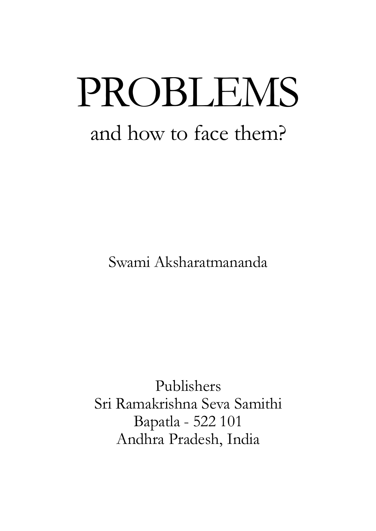# PROBLEMS and how to face them?

Swami Aksharatmananda

Publishers Sri Ramakrishna Seva Samithi Bapatla - 522 101 Andhra Pradesh, India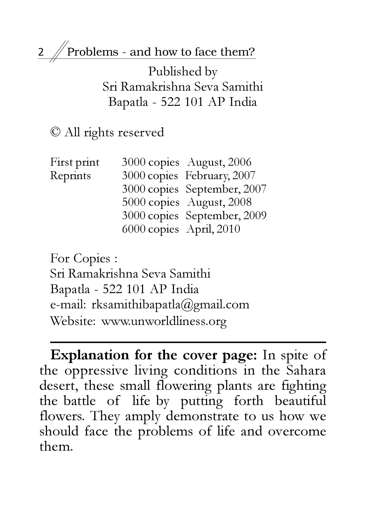Published by Sri Ramakrishna Seva Samithi Bapatla - 522 101 AP India

© All rights reserved

| First print |                         | 3000 copies August, 2006    |
|-------------|-------------------------|-----------------------------|
| Reprints    |                         | 3000 copies February, 2007  |
|             |                         | 3000 copies September, 2007 |
|             |                         | 5000 copies August, 2008    |
|             |                         | 3000 copies September, 2009 |
|             | 6000 copies April, 2010 |                             |

For Copies : Sri Ramakrishna Seva Samithi Bapatla - 522 101 AP India e-mail: rksamithibapatla@gmail.com Website: www.unworldliness.org

Explanation for the cover page: In spite of the oppressive living conditions in the Sahara desert, these small flowering plants are fighting the battle of life by putting forth beautiful flowers. They amply demonstrate to us how we should face the problems of life and overcome them.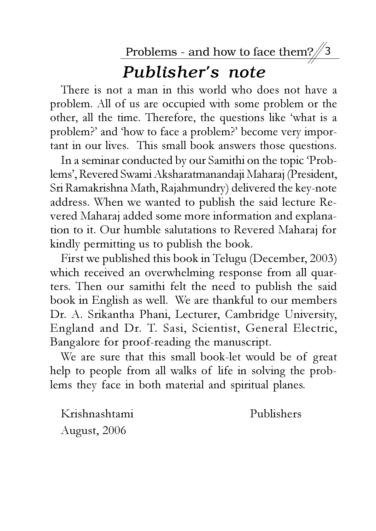Problems - and how to face them? $\frac{3}{3}$ 

## Publisher's note

There is not a man in this world who does not have a problem. All of us are occupied with some problem or the other, all the time. Therefore, the questions like 'what is a problem?' and 'how to face a problem?' become very important in our lives. This small book answers those questions.

In a seminar conducted by our Samithi on the topic 'Problems', Revered Swami Aksharatmanandaji Maharaj (President, Sri Ramakrishna Math, Rajahmundry) delivered the key-note address. When we wanted to publish the said lecture Revered Maharaj added some more information and explanation to it. Our humble salutations to Revered Maharaj for kindly permitting us to publish the book.

First we published this book in Telugu (December, 2003) which received an overwhelming response from all quarters. Then our samithi felt the need to publish the said book in English as well. We are thankful to our members Dr. A. Srikantha Phani, Lecturer, Cambridge University, England and Dr. T. Sasi, Scientist, General Electric, Bangalore for proof-reading the manuscript.

We are sure that this small book-let would be of great help to people from all walks of life in solving the problems they face in both material and spiritual planes.

Krishnashtami Publishers August, 2006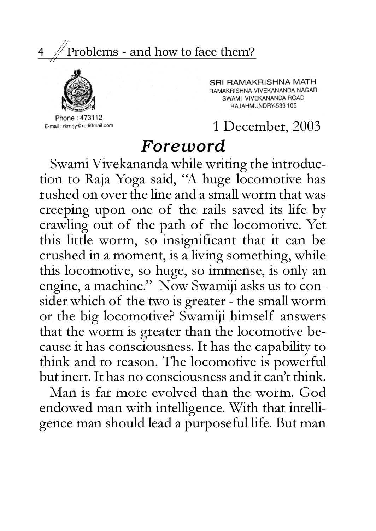

Phone: 473112 E-mail : rkmrjy@rediffmail.com

SRI RAMAKRISHNA MATH RAMAKRISHNA-VIVEKANANDA NAGAR SWAMI VIVEKANANDA ROAD RAJAHMUNDRY-533 105

1 December, 2003

#### Foreword

Swami Vivekananda while writing the introduction to Raja Yoga said, "A huge locomotive has rushed on over the line and a small worm that was creeping upon one of the rails saved its life by crawling out of the path of the locomotive. Yet this little worm, so insignificant that it can be crushed in a moment, is a living something, while this locomotive, so huge, so immense, is only an engine, a machine." Now Swamiji asks us to consider which of the two is greater - the small worm or the big locomotive? Swamiji himself answers that the worm is greater than the locomotive because it has consciousness. It has the capability to think and to reason. The locomotive is powerful but inert. It has no consciousness and it can't think.

Man is far more evolved than the worm. God endowed man with intelligence. With that intelligence man should lead a purposeful life. But man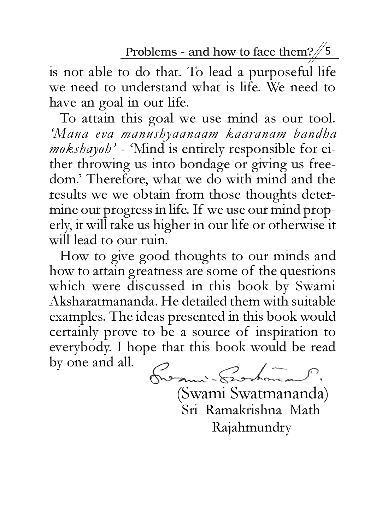Problems - and how to face them? $\frac{1}{5}$ 

is not able to do that. To lead a purposeful life we need to understand what is life. We need to have an goal in our life.

To attain this goal we use mind as our tool. 'Mana eva manushyaanaam kaaranam bandha mokshayoh' - 'Mind is entirely responsible for either throwing us into bondage or giving us freedom.' Therefore, what we do with mind and the results we we obtain from those thoughts determine our progress in life. If we use our mind properly, it will take us higher in our life or otherwise it will lead to our ruin.

How to give good thoughts to our minds and how to attain greatness are some of the questions which were discussed in this book by Swami Aksharatmananda. He detailed them with suitable examples. The ideas presented in this book would certainly prove to be a source of inspiration to everybody. I hope that this book would be read by one and all.

Rosemi-Promonal.

 (Swami Swatmananda) Sri Ramakrishna Math Rajahmundry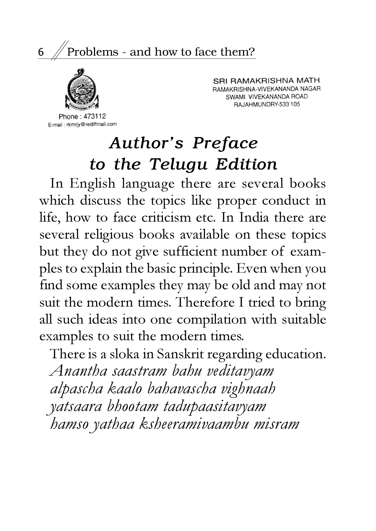

Phone: 473112 F-mail: rkmriv@rediffmail.com

SRI RAMAKRISHNA MATH BAMAKRISHNA-VIVEKANANDA NAGAR SWAMI VIVEKANANDA ROAD RAJAHMUNDRY-533 105

# Author's Preface to the Telugu Edition

In English language there are several books which discuss the topics like proper conduct in life, how to face criticism etc. In India there are several religious books available on these topics but they do not give sufficient number of examples to explain the basic principle. Even when you find some examples they may be old and may not suit the modern times. Therefore I tried to bring all such ideas into one compilation with suitable examples to suit the modern times.

There is a sloka in Sanskrit regarding education.

Anantha saastram bahu veditavyam alpascha kaalo bahavascha vighnaah yatsaara bhootam tadupaasitavyam hamso yathaa ksheeramivaambu misram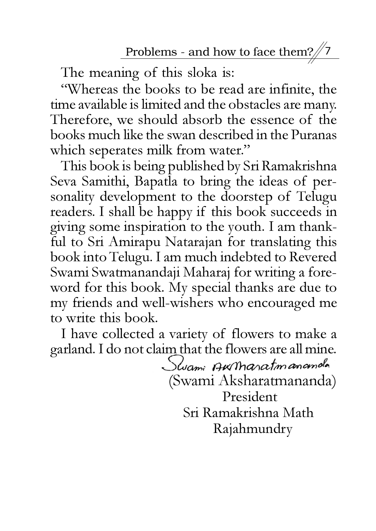The meaning of this sloka is:

"Whereas the books to be read are infinite, the time available is limited and the obstacles are many. Therefore, we should absorb the essence of the books much like the swan described in the Puranas which seperates milk from water."

This book is being published by Sri Ramakrishna Seva Samithi, Bapatla to bring the ideas of personality development to the doorstep of Telugu readers. I shall be happy if this book succeeds in giving some inspiration to the youth. I am thankful to Sri Amirapu Natarajan for translating this book into Telugu. I am much indebted to Revered Swami Swatmanandaji Maharaj for writing a foreword for this book. My special thanks are due to my friends and well-wishers who encouraged me to write this book.

I have collected a variety of flowers to make a garland. I do not claim that the flowers are all mine.

Swami Austranatmananda (Swami Aksharatmananda) President Sri Ramakrishna Math Rajahmundry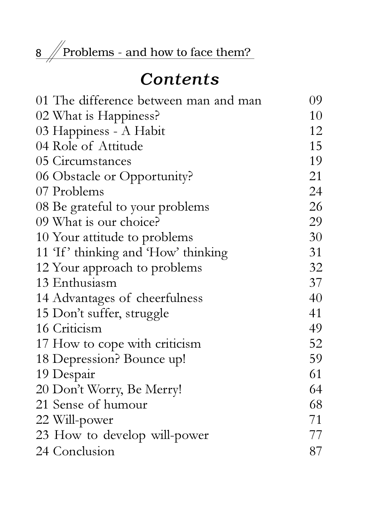# **Contents**

| 01 The difference between man and man | 09 |
|---------------------------------------|----|
| 02 What is Happiness?                 | 10 |
| 03 Happiness - A Habit                | 12 |
| 04 Role of Attitude                   | 15 |
| 05 Circumstances                      | 19 |
| 06 Obstacle or Opportunity?           | 21 |
| 07 Problems                           | 24 |
| 08 Be grateful to your problems       | 26 |
| 09 What is our choice?                | 29 |
| 10 Your attitude to problems          | 30 |
| 11 'If' thinking and 'How' thinking   | 31 |
| 12 Your approach to problems          | 32 |
| 13 Enthusiasm                         | 37 |
| 14 Advantages of cheerfulness         | 40 |
| 15 Don't suffer, struggle             | 41 |
| 16 Criticism                          | 49 |
| 17 How to cope with criticism         | 52 |
| 18 Depression? Bounce up!             | 59 |
| 19 Despair                            | 61 |
| 20 Don't Worry, Be Merry!             | 64 |
| 21 Sense of humour                    | 68 |
| 22 Will-power                         | 71 |
| 23 How to develop will-power          | 77 |
| 24 Conclusion                         | 87 |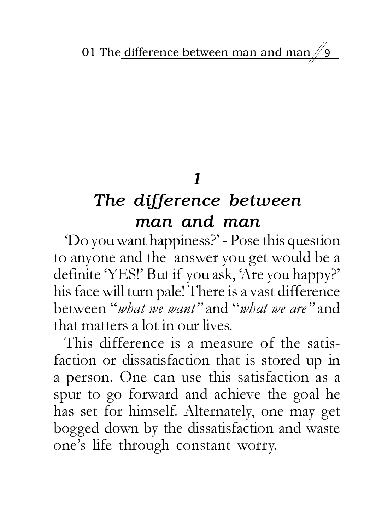01 The difference between man and man  $/9$ 

# 1

# The difference between man and man

'Do you want happiness?' - Pose this question to anyone and the answer you get would be a definite 'YES!' But if you ask, 'Are you happy?' his face will turn pale! There is a vast difference between "what we want" and "what we are" and that matters a lot in our lives.

This difference is a measure of the satisfaction or dissatisfaction that is stored up in a person. One can use this satisfaction as a spur to go forward and achieve the goal he has set for himself. Alternately, one may get bogged down by the dissatisfaction and waste one's life through constant worry.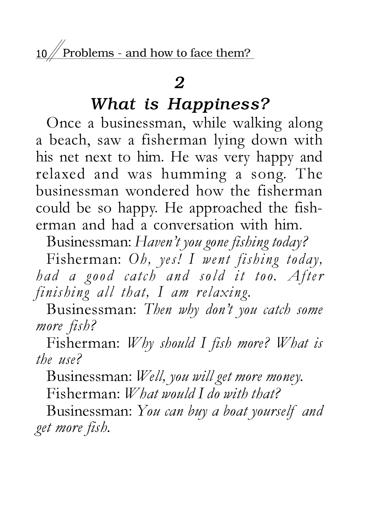#### 2

#### What is Happiness?

Once a businessman, while walking along a beach, saw a fisherman lying down with his net next to him. He was very happy and relaxed and was humming a song. The businessman wondered how the fisherman could be so happy. He approached the fisherman and had a conversation with him.

Businessman: Haven't you gone fishing today?

Fisherman: Oh, yes! I went fishing today, had a good catch and sold it too. After finishing all that, I am relaxing.

Businessman: Then why don't you catch some more fish?

Fisherman: Why should I fish more? What is the use?

Businessman: Well, you will get more money. Fisherman: What would I do with that?

Businessman: You can buy a boat yourself and get more fish.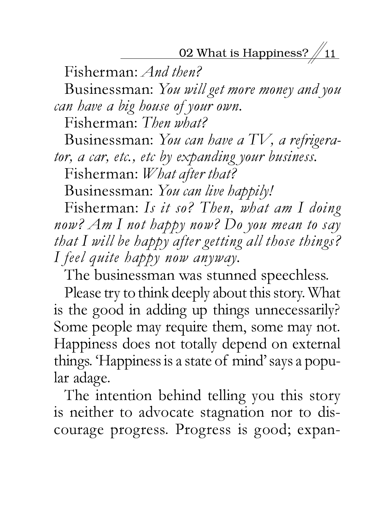02 What is Happiness?  $\frac{11}{11}$ 

Fisherman: And then?

Businessman: You will get more money and you can have a big house of your own.

Fisherman: Then what?

Businessman: You can have a TV, a refrigerator, a car, etc., etc by expanding your business.

Fisherman: *What after that?* 

Businessman: You can live happily!

Fisherman: Is it so? Then, what am I doing now? Am I not happy now? Do you mean to say that I will be happy after getting all those things? I feel quite happy now anyway.

The businessman was stunned speechless.

Please try to think deeply about this story. What is the good in adding up things unnecessarily? Some people may require them, some may not. Happiness does not totally depend on external things. 'Happiness is a state of mind' says a popular adage.

The intention behind telling you this story is neither to advocate stagnation nor to discourage progress. Progress is good; expan-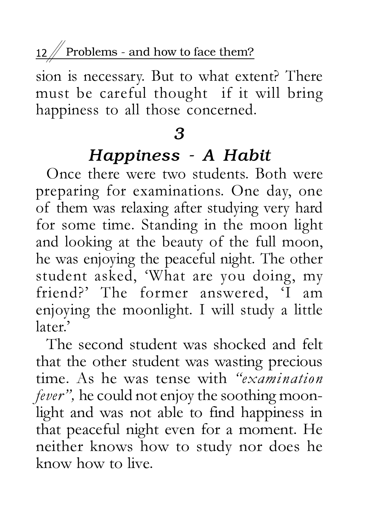sion is necessary. But to what extent? There must be careful thought if it will bring happiness to all those concerned.

## 3

# Happiness - A Habit

Once there were two students. Both were preparing for examinations. One day, one of them was relaxing after studying very hard for some time. Standing in the moon light and looking at the beauty of the full moon, he was enjoying the peaceful night. The other student asked, 'What are you doing, my friend?' The former answered, 'I am enjoying the moonlight. I will study a little later<sup>'</sup>

The second student was shocked and felt that the other student was wasting precious time. As he was tense with "examination fever", he could not enjoy the soothing moonlight and was not able to find happiness in that peaceful night even for a moment. He neither knows how to study nor does he know how to live.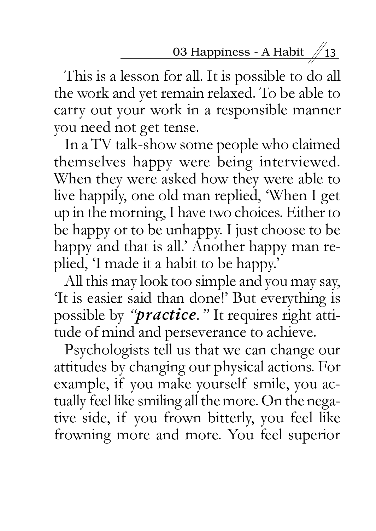03 Happiness - A Habit  $\frac{13}{13}$ 

This is a lesson for all. It is possible to do all the work and yet remain relaxed. To be able to carry out your work in a responsible manner you need not get tense.

In a TV talk-show some people who claimed themselves happy were being interviewed. When they were asked how they were able to live happily, one old man replied, 'When I get up in the morning, I have two choices. Either to be happy or to be unhappy. I just choose to be happy and that is all.' Another happy man replied, 'I made it a habit to be happy.'

All this may look too simple and you may say, 'It is easier said than done!' But everything is possible by "*practice*." It requires right attitude of mind and perseverance to achieve.

Psychologists tell us that we can change our attitudes by changing our physical actions. For example, if you make yourself smile, you actually feel like smiling all the more. On the negative side, if you frown bitterly, you feel like frowning more and more. You feel superior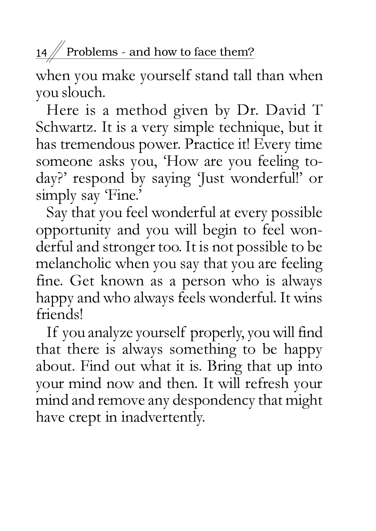when you make yourself stand tall than when you slouch.

Here is a method given by Dr. David T Schwartz. It is a very simple technique, but it has tremendous power. Practice it! Every time someone asks you, 'How are you feeling today?' respond by saying 'Just wonderful!' or simply say 'Fine.'

Say that you feel wonderful at every possible opportunity and you will begin to feel wonderful and stronger too. It is not possible to be melancholic when you say that you are feeling fine. Get known as a person who is always happy and who always feels wonderful. It wins friends!

If you analyze yourself properly, you will find that there is always something to be happy about. Find out what it is. Bring that up into your mind now and then. It will refresh your mind and remove any despondency that might have crept in inadvertently.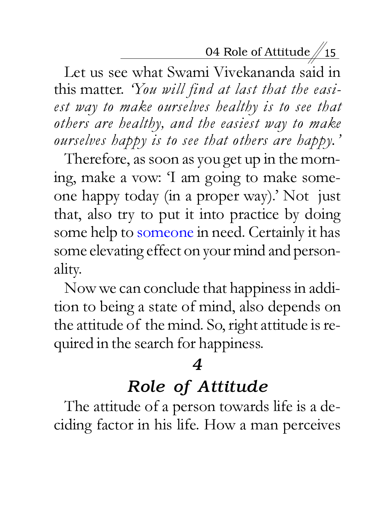04 Role of Attitude  $\frac{15}{15}$ 

Let us see what Swami Vivekananda said in this matter. 'You will find at last that the easiest way to make ourselves healthy is to see that others are healthy, and the easiest way to make ourselves happy is to see that others are happy.'

Therefore, as soon as you get up in the morning, make a vow: 'I am going to make someone happy today (in a proper way).' Not just that, also try to put it into practice by doing some help to someone in need. Certainly it has some elevating effect on your mind and personality.

Now we can conclude that happiness in addition to being a state of mind, also depends on the attitude of the mind. So, right attitude is required in the search for happiness.

# 4

# Role of Attitude

The attitude of a person towards life is a deciding factor in his life. How a man perceives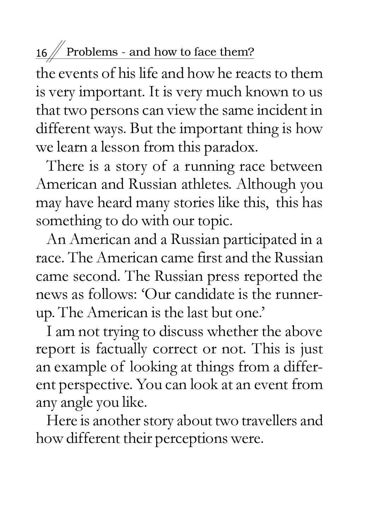the events of his life and how he reacts to them is very important. It is very much known to us that two persons can view the same incident in different ways. But the important thing is how we learn a lesson from this paradox.

There is a story of a running race between American and Russian athletes. Although you may have heard many stories like this, this has something to do with our topic.

An American and a Russian participated in a race. The American came first and the Russian came second. The Russian press reported the news as follows: 'Our candidate is the runnerup. The American is the last but one.'

I am not trying to discuss whether the above report is factually correct or not. This is just an example of looking at things from a different perspective. You can look at an event from any angle you like.

Here is another story about two travellers and how different their perceptions were.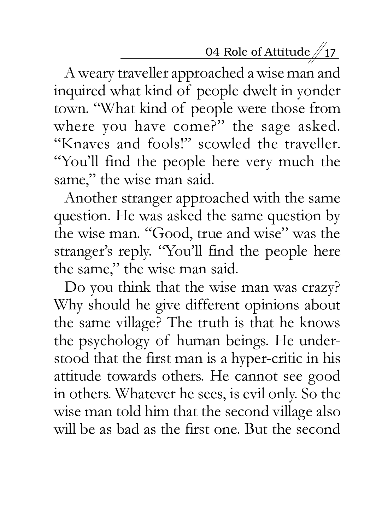04 Role of Attitude  $\sqrt{17}$ 

A weary traveller approached a wise man and inquired what kind of people dwelt in yonder town. "What kind of people were those from where you have come?" the sage asked. "Knaves and fools!" scowled the traveller. "You'll find the people here very much the same," the wise man said.

Another stranger approached with the same question. He was asked the same question by the wise man. "Good, true and wise" was the stranger's reply. "You'll find the people here the same," the wise man said.

Do you think that the wise man was crazy? Why should he give different opinions about the same village? The truth is that he knows the psychology of human beings. He understood that the first man is a hyper-critic in his attitude towards others. He cannot see good in others. Whatever he sees, is evil only. So the wise man told him that the second village also will be as bad as the first one. But the second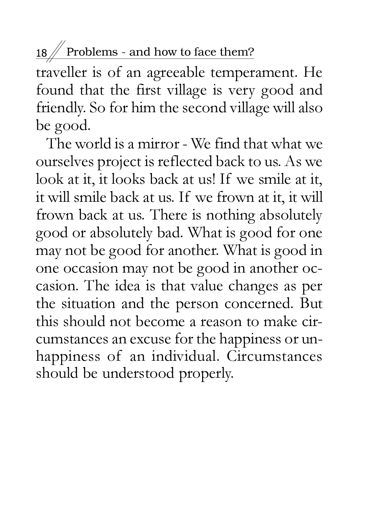traveller is of an agreeable temperament. He found that the first village is very good and friendly. So for him the second village will also be good.

The world is a mirror - We find that what we ourselves project is reflected back to us. As we look at it, it looks back at us! If we smile at it, it will smile back at us. If we frown at it, it will frown back at us. There is nothing absolutely good or absolutely bad. What is good for one may not be good for another. What is good in one occasion may not be good in another occasion. The idea is that value changes as per the situation and the person concerned. But this should not become a reason to make circumstances an excuse for the happiness or unhappiness of an individual. Circumstances should be understood properly.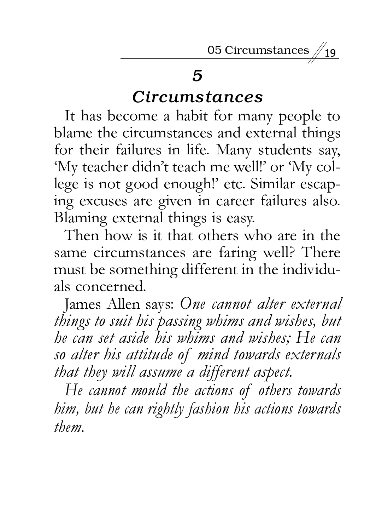#### 5

#### Circumstances

It has become a habit for many people to blame the circumstances and external things for their failures in life. Many students say, 'My teacher didn't teach me well!' or 'My college is not good enough!' etc. Similar escaping excuses are given in career failures also. Blaming external things is easy.

Then how is it that others who are in the same circumstances are faring well? There must be something different in the individuals concerned.

James Allen says: One cannot alter external things to suit his passing whims and wishes, but he can set aside his whims and wishes; He can so alter his attitude of mind towards externals that they will assume a different aspect.

He cannot mould the actions of others towards him, but he can rightly fashion his actions towards them.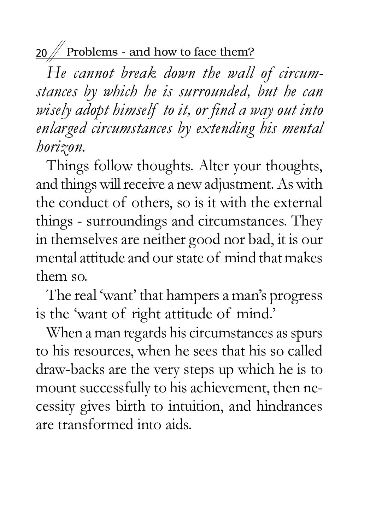He cannot break down the wall of circumstances by which he is surrounded, but he can wisely adopt himself to it, or find a way out into enlarged circumstances by extending his mental horizon.

Things follow thoughts. Alter your thoughts, and things will receive a new adjustment. As with the conduct of others, so is it with the external things - surroundings and circumstances. They in themselves are neither good nor bad, it is our mental attitude and our state of mind that makes them so.

The real 'want' that hampers a man's progress is the 'want of right attitude of mind.'

When a man regards his circumstances as spurs to his resources, when he sees that his so called draw-backs are the very steps up which he is to mount successfully to his achievement, then necessity gives birth to intuition, and hindrances are transformed into aids.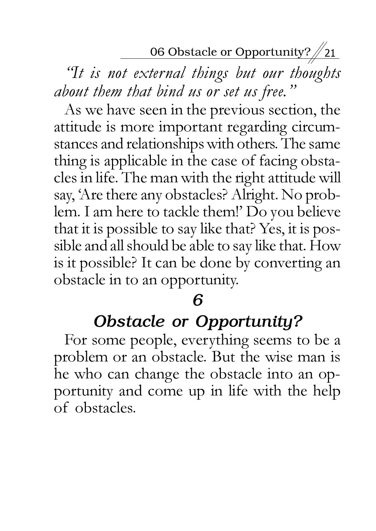06 Obstacle or Opportunity? 21

"It is not external things but our thoughts about them that bind us or set us free."

As we have seen in the previous section, the attitude is more important regarding circumstances and relationships with others. The same thing is applicable in the case of facing obstacles in life. The man with the right attitude will say, 'Are there any obstacles? Alright. No problem. I am here to tackle them!' Do you believe that it is possible to say like that? Yes, it is possible and all should be able to say like that. How is it possible? It can be done by converting an obstacle in to an opportunity.

#### 6

# Obstacle or Opportunity?

For some people, everything seems to be a problem or an obstacle. But the wise man is he who can change the obstacle into an opportunity and come up in life with the help of obstacles.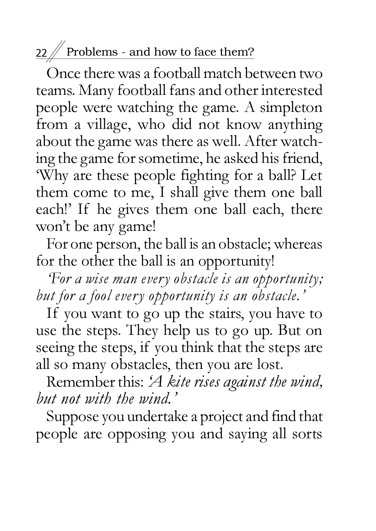Once there was a football match between two teams. Many football fans and other interested people were watching the game. A simpleton from a village, who did not know anything about the game was there as well. After watching the game for sometime, he asked his friend, 'Why are these people fighting for a ball? Let them come to me, I shall give them one ball each!' If he gives them one ball each, there won't be any game!

For one person, the ball is an obstacle; whereas for the other the ball is an opportunity!

'For a wise man every obstacle is an opportunity; but for a fool every opportunity is an obstacle.'

If you want to go up the stairs, you have to use the steps. They help us to go up. But on seeing the steps, if you think that the steps are all so many obstacles, then you are lost.

Remember this: 'A kite rises against the wind, but not with the wind.'

Suppose you undertake a project and find that people are opposing you and saying all sorts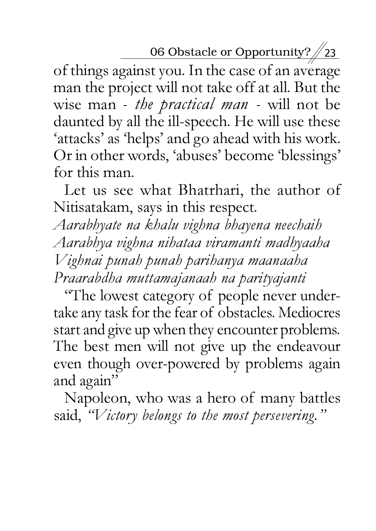06 Obstacle or Opportunity? 23

of things against you. In the case of an average man the project will not take off at all. But the wise man - the practical man - will not be daunted by all the ill-speech. He will use these 'attacks' as 'helps' and go ahead with his work. Or in other words, 'abuses' become 'blessings' for this man.

Let us see what Bhatrhari, the author of Nitisatakam, says in this respect.

Aarabhyate na khalu vighna bhayena neechaih Aarabhya vighna nihataa viramanti madhyaaha Vighnai punah punah parihanya maanaaha Praarabdha muttamajanaah na parityajanti

"The lowest category of people never undertake any task for the fear of obstacles. Mediocres start and give up when they encounter problems. The best men will not give up the endeavour even though over-powered by problems again and again"

Napoleon, who was a hero of many battles said, "Victory belongs to the most persevering."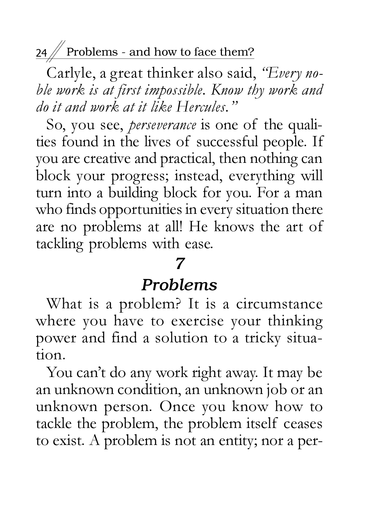Carlyle, a great thinker also said, "Every noble work is at first impossible. Know thy work and do it and work at it like Hercules."

So, you see, perseverance is one of the qualities found in the lives of successful people. If you are creative and practical, then nothing can block your progress; instead, everything will turn into a building block for you. For a man who finds opportunities in every situation there are no problems at all! He knows the art of tackling problems with ease.

## 7

#### Problems

What is a problem? It is a circumstance where you have to exercise your thinking power and find a solution to a tricky situation.

You can't do any work right away. It may be an unknown condition, an unknown job or an unknown person. Once you know how to tackle the problem, the problem itself ceases to exist. A problem is not an entity; nor a per-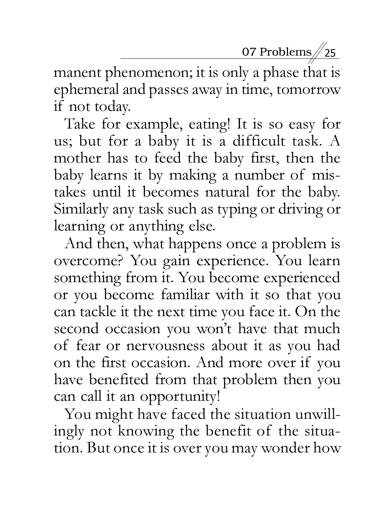07 Problems $\frac{\cancel{25}}{25}$ 

manent phenomenon; it is only a phase that is ephemeral and passes away in time, tomorrow if not today.

Take for example, eating! It is so easy for us; but for a baby it is a difficult task. A mother has to feed the baby first, then the baby learns it by making a number of mistakes until it becomes natural for the baby. Similarly any task such as typing or driving or learning or anything else.

And then, what happens once a problem is overcome? You gain experience. You learn something from it. You become experienced or you become familiar with it so that you can tackle it the next time you face it. On the second occasion you won't have that much of fear or nervousness about it as you had on the first occasion. And more over if you have benefited from that problem then you can call it an opportunity!

You might have faced the situation unwillingly not knowing the benefit of the situation. But once it is over you may wonder how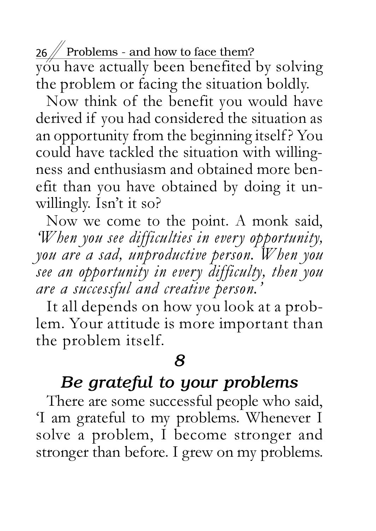26  $\mathbb Z$  Problems - and how to face them?

y $\H{0}$ u have actually been benefited by solving the problem or facing the situation boldly.

Now think of the benefit you would have derived if you had considered the situation as an opportunity from the beginning itself? You could have tackled the situation with willingness and enthusiasm and obtained more benefit than you have obtained by doing it unwillingly. Isn't it so?

Now we come to the point. A monk said, 'When you see difficulties in every opportunity, you are a sad, unproductive person. When you see an opportunity in every difficulty, then you are a successful and creative person.'

It all depends on how you look at a problem. Your attitude is more important than the problem itself.

# 8

# Be grateful to your problems

There are some successful people who said, 'I am grateful to my problems. Whenever I solve a problem, I become stronger and stronger than before. I grew on my problems.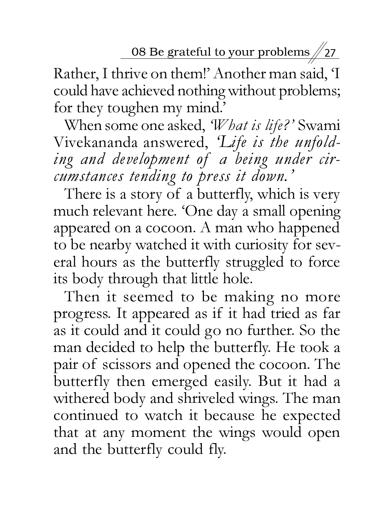Rather, I thrive on them!' Another man said, 'I could have achieved nothing without problems; for they toughen my mind.'

When some one asked, 'What is life?' Swami Vivekananda answered, 'Life is the unfolding and development of a being under circumstances tending to press it down.'

There is a story of a butterfly, which is very much relevant here. 'One day a small opening appeared on a cocoon. A man who happened to be nearby watched it with curiosity for several hours as the butterfly struggled to force its body through that little hole.

Then it seemed to be making no more progress. It appeared as if it had tried as far as it could and it could go no further. So the man decided to help the butterfly. He took a pair of scissors and opened the cocoon. The butterfly then emerged easily. But it had a withered body and shriveled wings. The man continued to watch it because he expected that at any moment the wings would open and the butterfly could fly.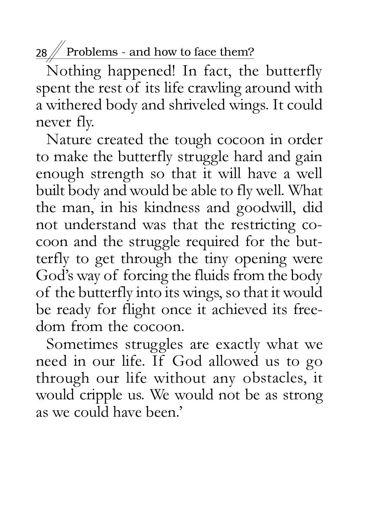Nothing happened! In fact, the butterfly spent the rest of its life crawling around with a withered body and shriveled wings. It could never fly.

Nature created the tough cocoon in order to make the butterfly struggle hard and gain enough strength so that it will have a well built body and would be able to fly well. What the man, in his kindness and goodwill, did not understand was that the restricting cocoon and the struggle required for the butterfly to get through the tiny opening were God's way of forcing the fluids from the body of the butterfly into its wings, so that it would be ready for flight once it achieved its freedom from the cocoon.

Sometimes struggles are exactly what we need in our life. If God allowed us to go through our life without any obstacles, it would cripple us. We would not be as strong as we could have been.'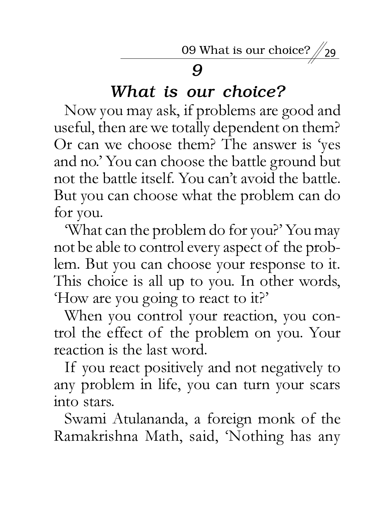#### 9

#### What is our choice?

Now you may ask, if problems are good and useful, then are we totally dependent on them? Or can we choose them? The answer is 'yes and no.' You can choose the battle ground but not the battle itself. You can't avoid the battle. But you can choose what the problem can do for you.

'What can the problem do for you?' You may not be able to control every aspect of the problem. But you can choose your response to it. This choice is all up to you. In other words, 'How are you going to react to it?'

When you control your reaction, you control the effect of the problem on you. Your reaction is the last word.

If you react positively and not negatively to any problem in life, you can turn your scars into stars.

Swami Atulananda, a foreign monk of the Ramakrishna Math, said, 'Nothing has any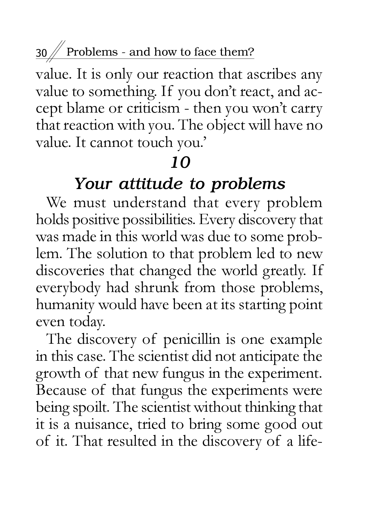value. It is only our reaction that ascribes any value to something. If you don't react, and accept blame or criticism - then you won't carry that reaction with you. The object will have no value. It cannot touch you.'

# 10

# Your attitude to problems

We must understand that every problem holds positive possibilities. Every discovery that was made in this world was due to some problem. The solution to that problem led to new discoveries that changed the world greatly. If everybody had shrunk from those problems, humanity would have been at its starting point even today.

The discovery of penicillin is one example in this case. The scientist did not anticipate the growth of that new fungus in the experiment. Because of that fungus the experiments were being spoilt. The scientist without thinking that it is a nuisance, tried to bring some good out of it. That resulted in the discovery of a life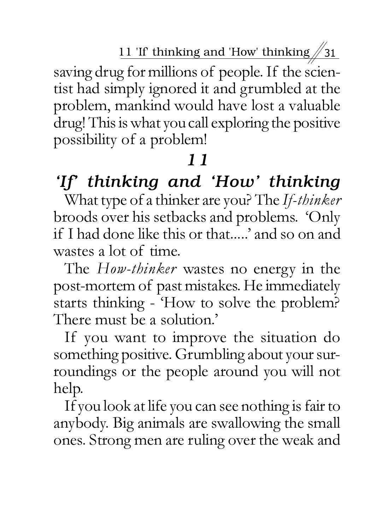11 'If' thinking and 'How' thinking  $\sqrt{31}$ 

saving drug for millions of people. If the scientist had simply ignored it and grumbled at the problem, mankind would have lost a valuable drug! This is what you call exploring the positive possibility of a problem!

# 11

# 'If' thinking and 'How' thinking

What type of a thinker are you? The If-thinker broods over his setbacks and problems. 'Only if I had done like this or that.....' and so on and wastes a lot of time.

The *How-thinker* wastes no energy in the post-mortem of past mistakes. He immediately starts thinking - 'How to solve the problem? There must be a solution.'

If you want to improve the situation do something positive. Grumbling about your surroundings or the people around you will not help.

If you look at life you can see nothing is fair to anybody. Big animals are swallowing the small ones. Strong men are ruling over the weak and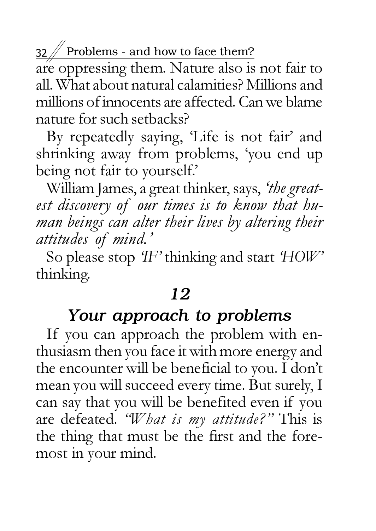are oppressing them. Nature also is not fair to all. What about natural calamities? Millions and millions of innocents are affected. Can we blame nature for such setbacks?

By repeatedly saying, 'Life is not fair' and shrinking away from problems, 'you end up being not fair to yourself.'

William James, a great thinker, says, 'the greatest discovery of our times is to know that human beings can alter their lives by altering their attitudes of mind.'

So please stop  $T$ ' thinking and start  $HOW$ ' thinking.

#### 12

## Your approach to problems

If you can approach the problem with enthusiasm then you face it with more energy and the encounter will be beneficial to you. I don't mean you will succeed every time. But surely, I can say that you will be benefited even if you are defeated. "What is my attitude?" This is the thing that must be the first and the foremost in your mind.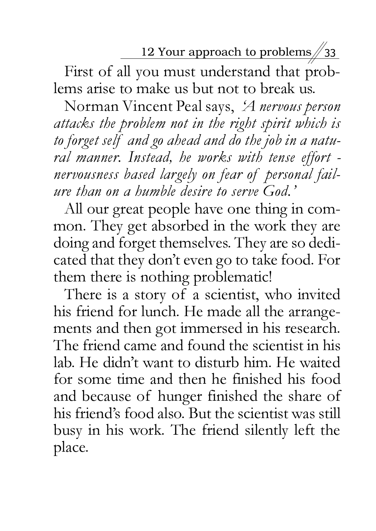12 Your approach to problems  $\frac{33}{33}$ 

First of all you must understand that problems arise to make us but not to break us.

Norman Vincent Peal says, 'A nervous person attacks the problem not in the right spirit which is to forget self and go ahead and do the job in a natural manner. Instead, he works with tense effort nervousness based largely on fear of personal failure than on a humble desire to serve God.'

All our great people have one thing in common. They get absorbed in the work they are doing and forget themselves. They are so dedicated that they don't even go to take food. For them there is nothing problematic!

There is a story of a scientist, who invited his friend for lunch. He made all the arrangements and then got immersed in his research. The friend came and found the scientist in his lab. He didn't want to disturb him. He waited for some time and then he finished his food and because of hunger finished the share of his friend's food also. But the scientist was still busy in his work. The friend silently left the place.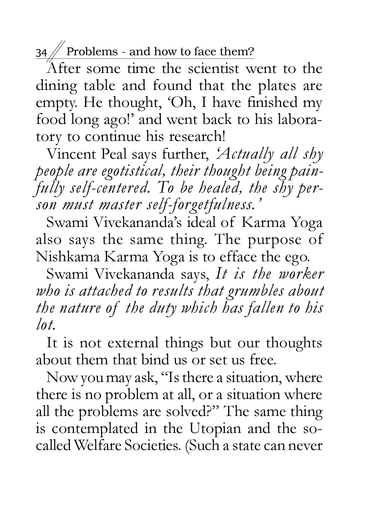After some time the scientist went to the dining table and found that the plates are empty. He thought, 'Oh, I have finished my food long ago!' and went back to his laboratory to continue his research!

Vincent Peal says further, 'Actually all shy people are egotistical, their thought being painfully self-centered. To be healed, the shy person must master self-forgetfulness.'

Swami Vivekananda's ideal of Karma Yoga also says the same thing. The purpose of Nishkama Karma Yoga is to efface the ego.

Swami Vivekananda says, It is the worker who is attached to results that grumbles about the nature of the duty which has fallen to his lot.

It is not external things but our thoughts about them that bind us or set us free.

Now you may ask, "Is there a situation, where there is no problem at all, or a situation where all the problems are solved?" The same thing is contemplated in the Utopian and the socalled Welfare Societies. (Such a state can never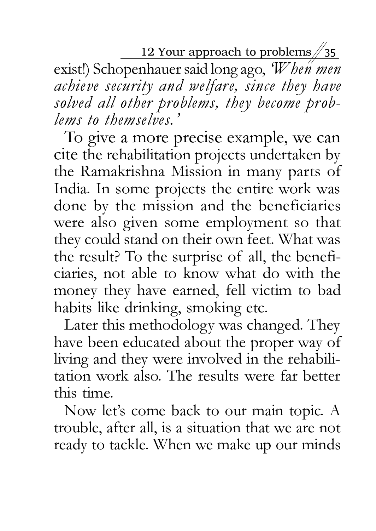12 Your approach to problems  $\frac{35}{35}$ 

exist!) Schopenhauer said long ago, 'When men achieve security and welfare, since they have solved all other problems, they become problems to themselves.'

To give a more precise example, we can cite the rehabilitation projects undertaken by the Ramakrishna Mission in many parts of India. In some projects the entire work was done by the mission and the beneficiaries were also given some employment so that they could stand on their own feet. What was the result? To the surprise of all, the beneficiaries, not able to know what do with the money they have earned, fell victim to bad habits like drinking, smoking etc.

Later this methodology was changed. They have been educated about the proper way of living and they were involved in the rehabilitation work also. The results were far better this time.

Now let's come back to our main topic. A trouble, after all, is a situation that we are not ready to tackle. When we make up our minds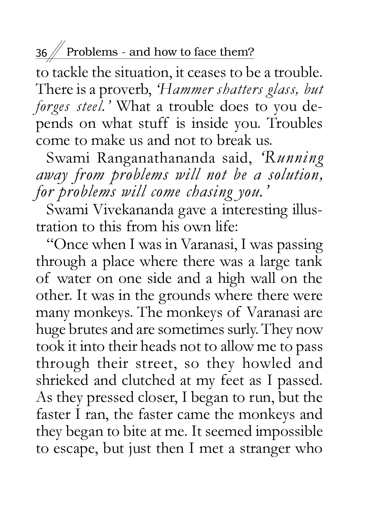to tackle the situation, it ceases to be a trouble. There is a proverb, 'Hammer shatters glass, but forges steel.' What a trouble does to you depends on what stuff is inside you. Troubles come to make us and not to break us.

Swami Ranganathananda said, 'Running away from problems will not be a solution, for problems will come chasing you.'

Swami Vivekananda gave a interesting illustration to this from his own life:

"Once when I was in Varanasi, I was passing through a place where there was a large tank of water on one side and a high wall on the other. It was in the grounds where there were many monkeys. The monkeys of Varanasi are huge brutes and are sometimes surly. They now took it into their heads not to allow me to pass through their street, so they howled and shrieked and clutched at my feet as I passed. As they pressed closer, I began to run, but the faster I ran, the faster came the monkeys and they began to bite at me. It seemed impossible to escape, but just then I met a stranger who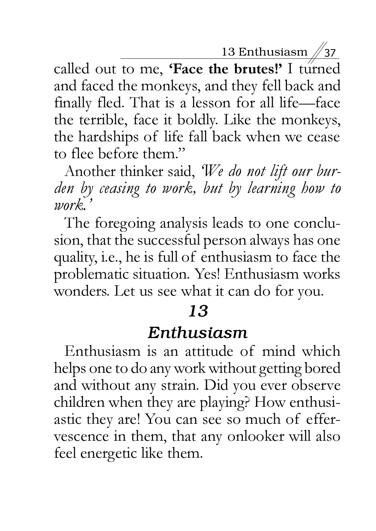13 Enthusiasm  $\frac{27}{37}$ 

called out to me, 'Face the brutes!' I turned and faced the monkeys, and they fell back and finally fled. That is a lesson for all life—face the terrible, face it boldly. Like the monkeys, the hardships of life fall back when we cease to flee before them."

Another thinker said, 'We do not lift our burden by ceasing to work, but by learning how to  $work$ 

The foregoing analysis leads to one conclusion, that the successful person always has one quality, i.e., he is full of enthusiasm to face the problematic situation. Yes! Enthusiasm works wonders. Let us see what it can do for you.

### 13

### Enthusiasm

Enthusiasm is an attitude of mind which helps one to do any work without getting bored and without any strain. Did you ever observe children when they are playing? How enthusiastic they are! You can see so much of effervescence in them, that any onlooker will also feel energetic like them.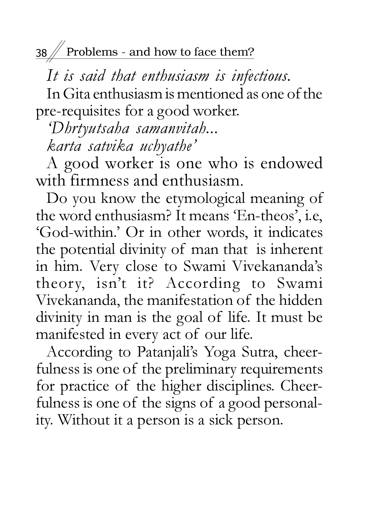It is said that enthusiasm is infectious.

In Gita enthusiasm is mentioned as one of the pre-requisites for a good worker.

'Dhrtyutsaha samanvitah... karta satvika uchyathe'

A good worker is one who is endowed with firmness and enthusiasm.

Do you know the etymological meaning of the word enthusiasm? It means 'En-theos', i.e, 'God-within.' Or in other words, it indicates the potential divinity of man that is inherent in him. Very close to Swami Vivekananda's theory, isn't it? According to Swami Vivekananda, the manifestation of the hidden divinity in man is the goal of life. It must be manifested in every act of our life.

According to Patanjali's Yoga Sutra, cheerfulness is one of the preliminary requirements for practice of the higher disciplines. Cheerfulness is one of the signs of a good personality. Without it a person is a sick person.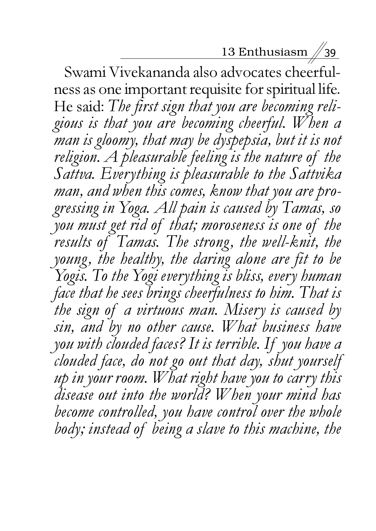Swami Vivekananda also advocates cheerfulness as one important requisite for spiritual life. He said: The first sign that you are becoming religious is that you are becoming cheerful. When a man is gloomy, that may be dyspepsia, but it is not religion. A pleasurable feeling is the nature of the Sattva. Everything is pleasurable to the Sattvika man, and when this comes, know that you are progressing in Yoga. All pain is caused by Tamas, so you must get rid of that; moroseness is one of the results of Tamas. The strong, the well-knit, the young, the healthy, the daring alone are fit to be Yogis. To the Yogi everything is bliss, every human face that he sees brings cheerfulness to him. That is the sign of a virtuous man. Misery is caused by sin, and by no other cause. What business have you with clouded faces? It is terrible. If you have a clouded face, do not go out that day, shut yourself up in your room. What right have you to carry this disease out into the world? When your mind has become controlled, you have control over the whole body; instead of being a slave to this machine, the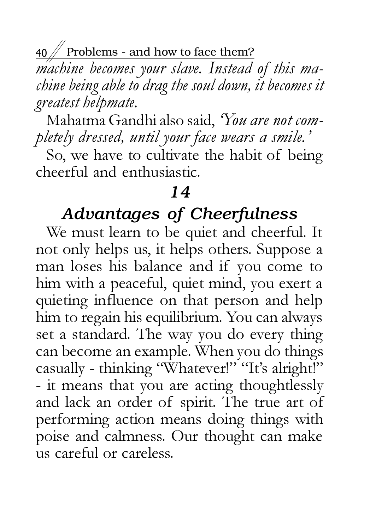machine becomes your slave. Instead of this machine being able to drag the soul down, it becomes it greatest helpmate.

Mahatma Gandhi also said, *You are not com*pletely dressed, until your face wears a smile.'

So, we have to cultivate the habit of being cheerful and enthusiastic.

#### 14

### Advantages of Cheerfulness

We must learn to be quiet and cheerful. It not only helps us, it helps others. Suppose a man loses his balance and if you come to him with a peaceful, quiet mind, you exert a quieting influence on that person and help him to regain his equilibrium. You can always set a standard. The way you do every thing can become an example. When you do things casually - thinking "Whatever!" "It's alright!" - it means that you are acting thoughtlessly and lack an order of spirit. The true art of performing action means doing things with poise and calmness. Our thought can make us careful or careless.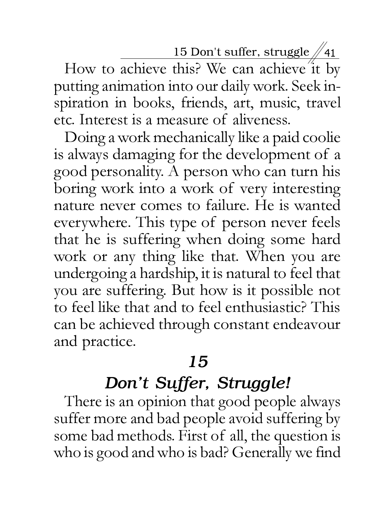15 Don't suffer, struggle  $\frac{41}{41}$ 

How to achieve this? We can achieve it by putting animation into our daily work. Seek inspiration in books, friends, art, music, travel etc. Interest is a measure of aliveness.

Doing a work mechanically like a paid coolie is always damaging for the development of a good personality. A person who can turn his boring work into a work of very interesting nature never comes to failure. He is wanted everywhere. This type of person never feels that he is suffering when doing some hard work or any thing like that. When you are undergoing a hardship, it is natural to feel that you are suffering. But how is it possible not to feel like that and to feel enthusiastic? This can be achieved through constant endeavour and practice.

#### 15

### Don't Suffer, Struggle!

There is an opinion that good people always suffer more and bad people avoid suffering by some bad methods. First of all, the question is who is good and who is bad? Generally we find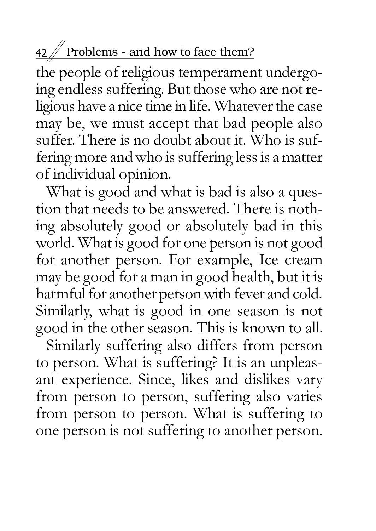the people of religious temperament undergoing endless suffering. But those who are not religious have a nice time in life. Whatever the case may be, we must accept that bad people also suffer. There is no doubt about it. Who is suffering more and who is suffering less is a matter of individual opinion.

What is good and what is bad is also a question that needs to be answered. There is nothing absolutely good or absolutely bad in this world. What is good for one person is not good for another person. For example, Ice cream may be good for a man in good health, but it is harmful for another person with fever and cold. Similarly, what is good in one season is not good in the other season. This is known to all.

Similarly suffering also differs from person to person. What is suffering? It is an unpleasant experience. Since, likes and dislikes vary from person to person, suffering also varies from person to person. What is suffering to one person is not suffering to another person.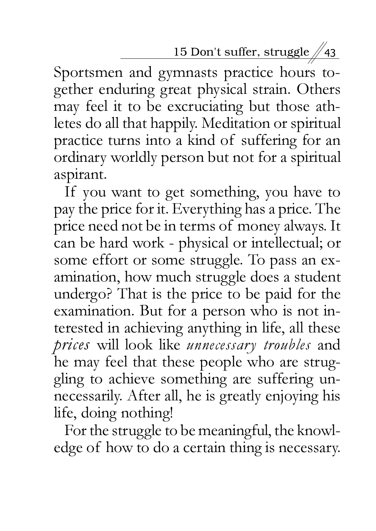15 Don't suffer, struggle  $\frac{43}{43}$ 

Sportsmen and gymnasts practice hours together enduring great physical strain. Others may feel it to be excruciating but those athletes do all that happily. Meditation or spiritual practice turns into a kind of suffering for an ordinary worldly person but not for a spiritual aspirant.

If you want to get something, you have to pay the price for it. Everything has a price. The price need not be in terms of money always. It can be hard work - physical or intellectual; or some effort or some struggle. To pass an examination, how much struggle does a student undergo? That is the price to be paid for the examination. But for a person who is not interested in achieving anything in life, all these prices will look like unnecessary troubles and he may feel that these people who are struggling to achieve something are suffering unnecessarily. After all, he is greatly enjoying his life, doing nothing!

For the struggle to be meaningful, the knowledge of how to do a certain thing is necessary.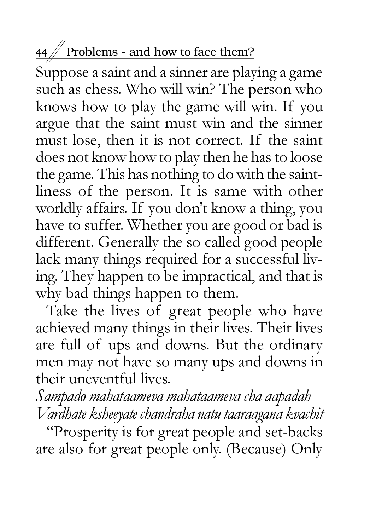Suppose a saint and a sinner are playing a game such as chess. Who will win? The person who knows how to play the game will win. If you argue that the saint must win and the sinner must lose, then it is not correct. If the saint does not know how to play then he has to loose the game. This has nothing to do with the saintliness of the person. It is same with other worldly affairs. If you don't know a thing, you have to suffer. Whether you are good or bad is different. Generally the so called good people lack many things required for a successful living. They happen to be impractical, and that is why bad things happen to them.

Take the lives of great people who have achieved many things in their lives. Their lives are full of ups and downs. But the ordinary men may not have so many ups and downs in their uneventful lives.

Sampado mahataameva mahataameva cha aapadah Vardhate ksheeyate chandraha natu taaraagana kvachit

"Prosperity is for great people and set-backs are also for great people only. (Because) Only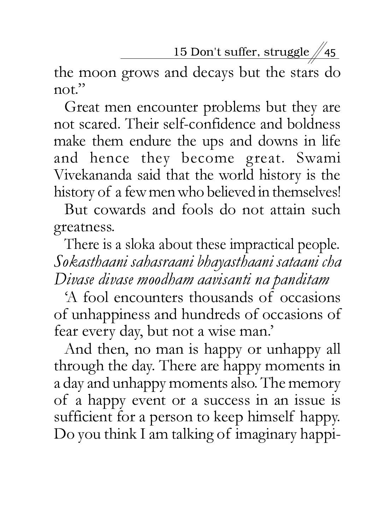15 Don't suffer, struggle  $\frac{45}{15}$ 

the moon grows and decays but the stars do not."

Great men encounter problems but they are not scared. Their self-confidence and boldness make them endure the ups and downs in life and hence they become great. Swami Vivekananda said that the world history is the history of a few men who believed in themselves!

But cowards and fools do not attain such greatness.

There is a sloka about these impractical people. Sokasthaani sahasraani bhayasthaani sataani cha Divase divase moodham aavisanti na panditam

'A fool encounters thousands of occasions of unhappiness and hundreds of occasions of fear every day, but not a wise man.'

And then, no man is happy or unhappy all through the day. There are happy moments in a day and unhappy moments also. The memory of a happy event or a success in an issue is sufficient for a person to keep himself happy. Do you think I am talking of imaginary happi-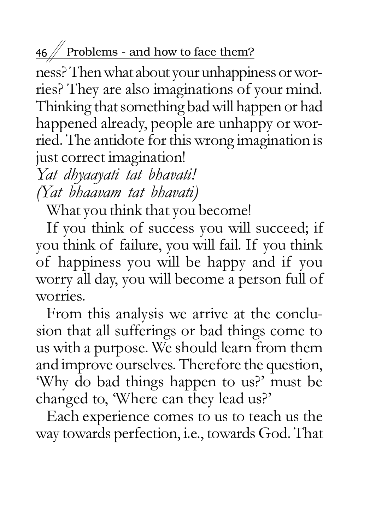ness? Then what about your unhappiness or worries? They are also imaginations of your mind. Thinking that something bad will happen or had happened already, people are unhappy or worried. The antidote for this wrong imagination is just correct imagination!

Yat dhyaayati tat bhavati! (Yat bhaavam tat bhavati)

What you think that you become!

If you think of success you will succeed; if you think of failure, you will fail. If you think of happiness you will be happy and if you worry all day, you will become a person full of worries.

From this analysis we arrive at the conclusion that all sufferings or bad things come to us with a purpose. We should learn from them and improve ourselves. Therefore the question, 'Why do bad things happen to us?' must be changed to, 'Where can they lead us?'

Each experience comes to us to teach us the way towards perfection, i.e., towards God. That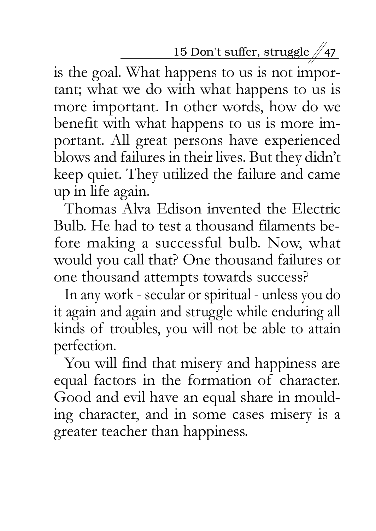15 Don't suffer, struggle  $\frac{47}{47}$ 

is the goal. What happens to us is not important; what we do with what happens to us is more important. In other words, how do we benefit with what happens to us is more important. All great persons have experienced blows and failures in their lives. But they didn't keep quiet. They utilized the failure and came up in life again.

Thomas Alva Edison invented the Electric Bulb. He had to test a thousand filaments before making a successful bulb. Now, what would you call that? One thousand failures or one thousand attempts towards success?

In any work - secular or spiritual - unless you do it again and again and struggle while enduring all kinds of troubles, you will not be able to attain perfection.

You will find that misery and happiness are equal factors in the formation of character. Good and evil have an equal share in moulding character, and in some cases misery is a greater teacher than happiness.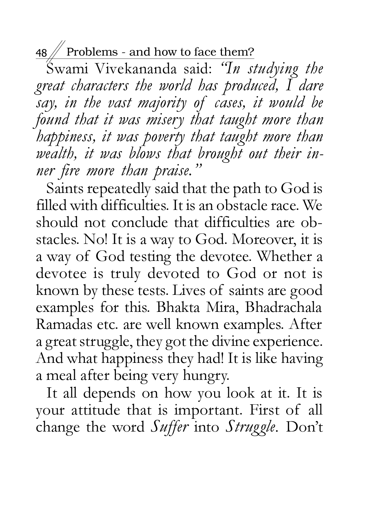48  $\mathbin{\mathbb{Z}}$  Problems - and how to face them?

Swami Vivekananda said: "In studying the great characters the world has produced, I dare say, in the vast majority of cases, it would be found that it was misery that taught more than happiness, it was poverty that taught more than wealth, it was blows that brought out their inner fire more than praise."

Saints repeatedly said that the path to God is filled with difficulties. It is an obstacle race. We should not conclude that difficulties are obstacles. No! It is a way to God. Moreover, it is a way of God testing the devotee. Whether a devotee is truly devoted to God or not is known by these tests. Lives of saints are good examples for this. Bhakta Mira, Bhadrachala Ramadas etc. are well known examples. After a great struggle, they got the divine experience. And what happiness they had! It is like having a meal after being very hungry.

It all depends on how you look at it. It is your attitude that is important. First of all change the word Suffer into Struggle. Don't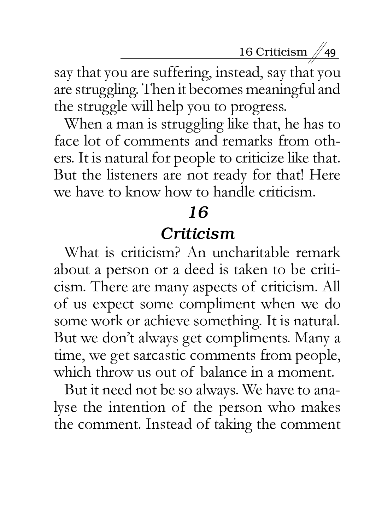say that you are suffering, instead, say that you are struggling. Then it becomes meaningful and the struggle will help you to progress.

When a man is struggling like that, he has to face lot of comments and remarks from others. It is natural for people to criticize like that. But the listeners are not ready for that! Here we have to know how to handle criticism.

## 16

### Criticism

What is criticism? An uncharitable remark about a person or a deed is taken to be criticism. There are many aspects of criticism. All of us expect some compliment when we do some work or achieve something. It is natural. But we don't always get compliments. Many a time, we get sarcastic comments from people, which throw us out of balance in a moment.

But it need not be so always. We have to analyse the intention of the person who makes the comment. Instead of taking the comment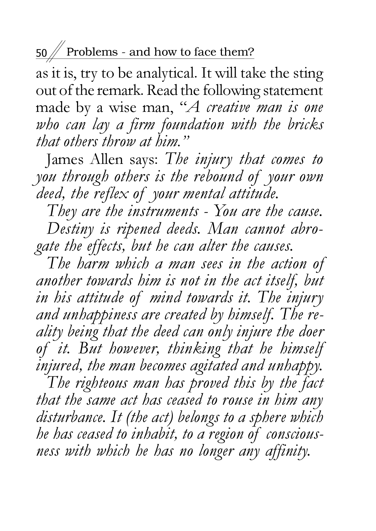as it is, try to be analytical. It will take the sting out of the remark. Read the following statement made by a wise man, "A creative man is one who can lay a firm foundation with the bricks that others throw at him."

James Allen says: The injury that comes to you through others is the rebound of your own deed, the reflex of your mental attitude.

They are the instruments - You are the cause. Destiny is ripened deeds. Man cannot abrogate the effects, but he can alter the causes.

The harm which a man sees in the action of another towards him is not in the act itself, but in his attitude of mind towards it. The injury and unhappiness are created by himself. The reality being that the deed can only injure the doer of it. But however, thinking that he himself injured, the man becomes agitated and unhappy. The righteous man has proved this by the fact that the same act has ceased to rouse in him any disturbance. It (the act) belongs to a sphere which he has ceased to inhabit, to a region of conscious-

ness with which he has no longer any affinity.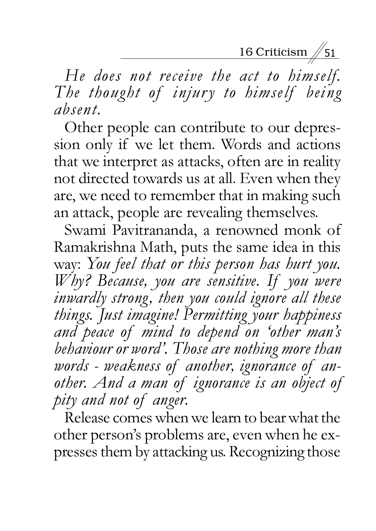16 Criticism  $\sqrt{51}$ 

He does not receive the act to himself. The thought of injury to himself being absent.

Other people can contribute to our depression only if we let them. Words and actions that we interpret as attacks, often are in reality not directed towards us at all. Even when they are, we need to remember that in making such an attack, people are revealing themselves.

Swami Pavitrananda, a renowned monk of Ramakrishna Math, puts the same idea in this way: You feel that or this person has hurt you. Why? Because, you are sensitive. If you were inwardly strong, then you could ignore all these things. Just imagine! Permitting your happiness and peace of mind to depend on 'other man's behaviour or word'. Those are nothing more than words - weakness of another, ignorance of another. And a man of ignorance is an object of pity and not of anger.

Release comes when we learn to bear what the other person's problems are, even when he expresses them by attacking us. Recognizing those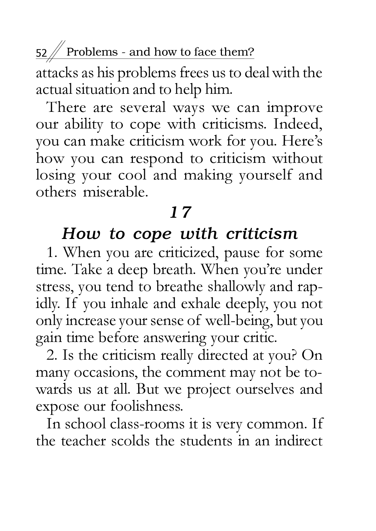attacks as his problems frees us to deal with the actual situation and to help him.

There are several ways we can improve our ability to cope with criticisms. Indeed, you can make criticism work for you. Here's how you can respond to criticism without losing your cool and making yourself and others miserable.

## 17

### How to cope with criticism

1. When you are criticized, pause for some time. Take a deep breath. When you're under stress, you tend to breathe shallowly and rapidly. If you inhale and exhale deeply, you not only increase your sense of well-being, but you gain time before answering your critic.

2. Is the criticism really directed at you? On many occasions, the comment may not be towards us at all. But we project ourselves and expose our foolishness.

In school class-rooms it is very common. If the teacher scolds the students in an indirect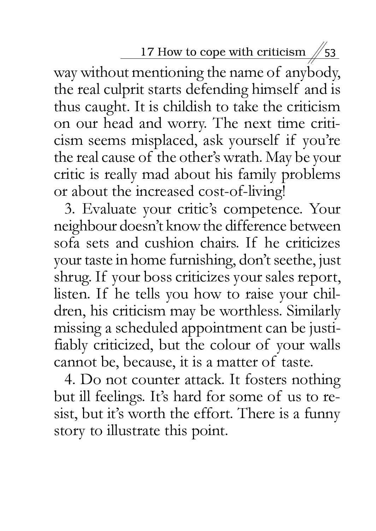17 How to cope with criticism  $\sqrt{53}$ 

way without mentioning the name of anybody, the real culprit starts defending himself and is thus caught. It is childish to take the criticism on our head and worry. The next time criticism seems misplaced, ask yourself if you're the real cause of the other's wrath. May be your critic is really mad about his family problems or about the increased cost-of-living!

3. Evaluate your critic's competence. Your neighbour doesn't know the difference between sofa sets and cushion chairs. If he criticizes your taste in home furnishing, don't seethe, just shrug. If your boss criticizes your sales report, listen. If he tells you how to raise your children, his criticism may be worthless. Similarly missing a scheduled appointment can be justifiably criticized, but the colour of your walls cannot be, because, it is a matter of taste.

4. Do not counter attack. It fosters nothing but ill feelings. It's hard for some of us to resist, but it's worth the effort. There is a funny story to illustrate this point.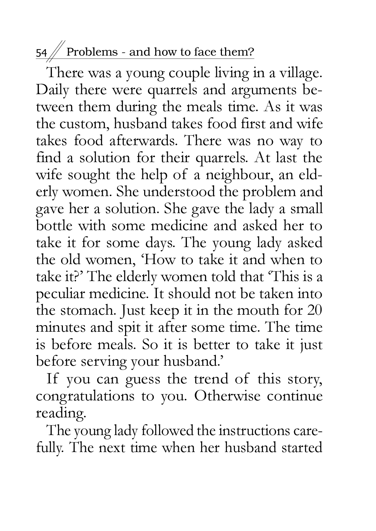There was a young couple living in a village. Daily there were quarrels and arguments between them during the meals time. As it was the custom, husband takes food first and wife takes food afterwards. There was no way to find a solution for their quarrels. At last the wife sought the help of a neighbour, an elderly women. She understood the problem and gave her a solution. She gave the lady a small bottle with some medicine and asked her to take it for some days. The young lady asked the old women, 'How to take it and when to take it?' The elderly women told that 'This is a peculiar medicine. It should not be taken into the stomach. Just keep it in the mouth for 20 minutes and spit it after some time. The time is before meals. So it is better to take it just before serving your husband.'

If you can guess the trend of this story, congratulations to you. Otherwise continue reading.

The young lady followed the instructions carefully. The next time when her husband started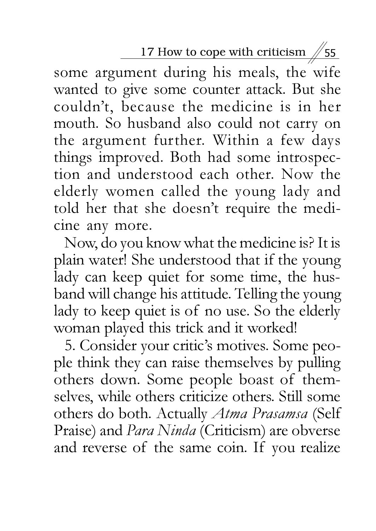17 How to cope with criticism  $\sqrt{55}$ 

some argument during his meals, the wife wanted to give some counter attack. But she couldn't, because the medicine is in her mouth. So husband also could not carry on the argument further. Within a few days things improved. Both had some introspection and understood each other. Now the elderly women called the young lady and told her that she doesn't require the medicine any more.

Now, do you know what the medicine is? It is plain water! She understood that if the young lady can keep quiet for some time, the husband will change his attitude. Telling the young lady to keep quiet is of no use. So the elderly woman played this trick and it worked!

5. Consider your critic's motives. Some people think they can raise themselves by pulling others down. Some people boast of themselves, while others criticize others. Still some others do both. Actually Atma Prasamsa (Self Praise) and *Para Ninda* (Criticism) are obverse and reverse of the same coin. If you realize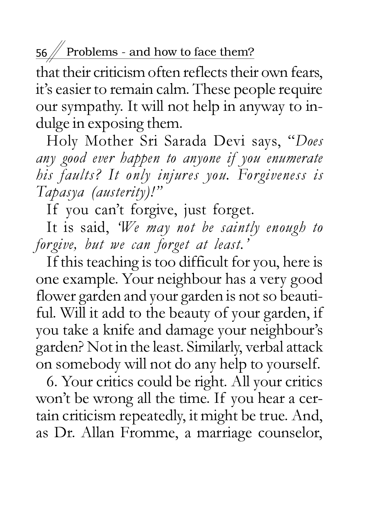that their criticism often reflects their own fears, it's easier to remain calm. These people require our sympathy. It will not help in anyway to indulge in exposing them.

Holy Mother Sri Sarada Devi says, "Does any good ever happen to anyone if you enumerate his faults? It only injures you. Forgiveness is Tapasya (austerity)!"

If you can't forgive, just forget.

It is said, 'We may not be saintly enough to forgive, but we can forget at least.'

If this teaching is too difficult for you, here is one example. Your neighbour has a very good flower garden and your garden is not so beautiful. Will it add to the beauty of your garden, if you take a knife and damage your neighbour's garden? Not in the least. Similarly, verbal attack on somebody will not do any help to yourself.

6. Your critics could be right. All your critics won't be wrong all the time. If you hear a certain criticism repeatedly, it might be true. And, as Dr. Allan Fromme, a marriage counselor,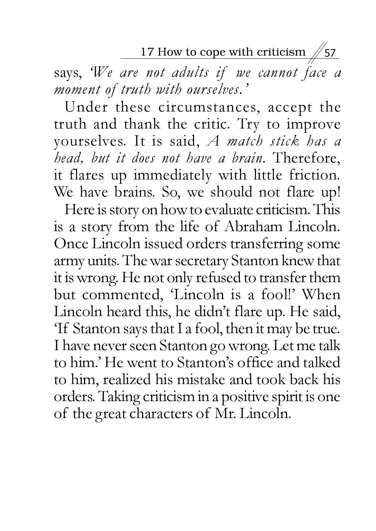17 How to cope with criticism  $\sqrt{57}$ 

says, We are not adults if we cannot face a moment of truth with ourselves.'

Under these circumstances, accept the truth and thank the critic. Try to improve yourselves. It is said, A match stick has a head, but it does not have a brain. Therefore, it flares up immediately with little friction. We have brains. So, we should not flare up!

Here is story on how to evaluate criticism. This is a story from the life of Abraham Lincoln. Once Lincoln issued orders transferring some army units. The war secretary Stanton knew that it is wrong. He not only refused to transfer them but commented, 'Lincoln is a fool!' When Lincoln heard this, he didn't flare up. He said, 'If Stanton says that I a fool, then it may be true. I have never seen Stanton go wrong. Let me talk to him.' He went to Stanton's office and talked to him, realized his mistake and took back his orders. Taking criticism in a positive spirit is one of the great characters of Mr. Lincoln.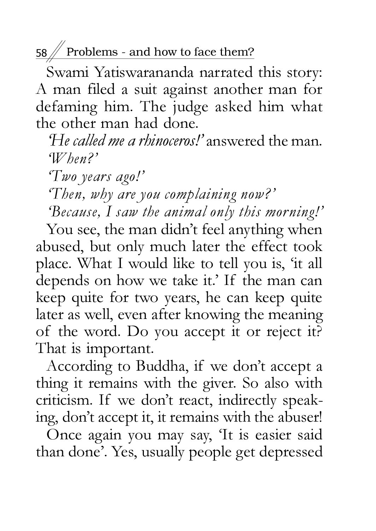Swami Yatiswarananda narrated this story: A man filed a suit against another man for defaming him. The judge asked him what the other man had done.

'He called me a rhinoceros!' answered the man. 'When?'

'Two years ago!'

'Then, why are you complaining now?'

'Because, I saw the animal only this morning!'

You see, the man didn't feel anything when abused, but only much later the effect took place. What I would like to tell you is, 'it all depends on how we take it.' If the man can keep quite for two years, he can keep quite later as well, even after knowing the meaning of the word. Do you accept it or reject it? That is important.

According to Buddha, if we don't accept a thing it remains with the giver. So also with criticism. If we don't react, indirectly speaking, don't accept it, it remains with the abuser!

Once again you may say, 'It is easier said than done'. Yes, usually people get depressed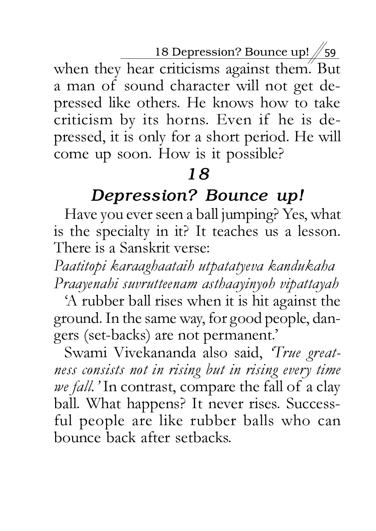18 Depression? Bounce up! // 59

when they hear criticisms against them. But a man of sound character will not get depressed like others. He knows how to take criticism by its horns. Even if he is depressed, it is only for a short period. He will come up soon. How is it possible?

## 18

### Depression? Bounce up!

Have you ever seen a ball jumping? Yes, what is the specialty in it? It teaches us a lesson. There is a Sanskrit verse:

Paatitopi karaaghaataih utpatatyeva kandukaha Praayenahi suvrutteenam asthaayinyoh vipattayah

'A rubber ball rises when it is hit against the ground. In the same way, for good people, dangers (set-backs) are not permanent.'

Swami Vivekananda also said, 'True greatness consists not in rising but in rising every time we fall.' In contrast, compare the fall of a clay ball. What happens? It never rises. Successful people are like rubber balls who can bounce back after setbacks.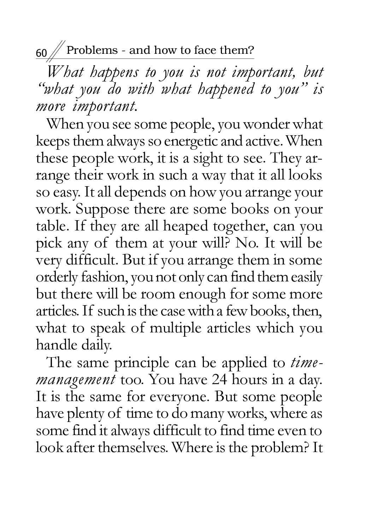What happens to you is not important, but "what you do with what happened to you" is more important.

When you see some people, you wonder what keeps them always so energetic and active. When these people work, it is a sight to see. They arrange their work in such a way that it all looks so easy. It all depends on how you arrange your work. Suppose there are some books on your table. If they are all heaped together, can you pick any of them at your will? No. It will be very difficult. But if you arrange them in some orderly fashion, you not only can find them easily but there will be room enough for some more articles. If such is the case with a few books, then, what to speak of multiple articles which you handle daily.

The same principle can be applied to *time*management too. You have 24 hours in a day. It is the same for everyone. But some people have plenty of time to do many works, where as some find it always difficult to find time even to look after themselves. Where is the problem? It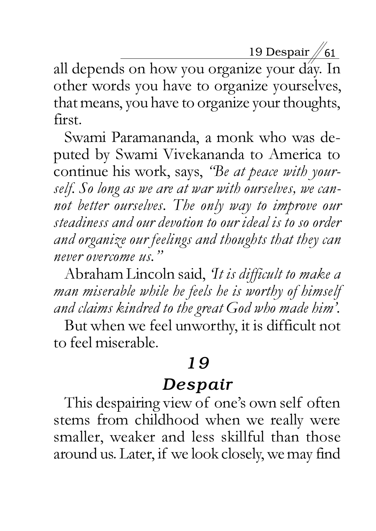19 Despair  $\sqrt{61}$ 

all depends on how you organize your day. In other words you have to organize yourselves, that means, you have to organize your thoughts, first.

Swami Paramananda, a monk who was deputed by Swami Vivekananda to America to continue his work, says, "Be at peace with yourself. So long as we are at war with ourselves, we cannot better ourselves. The only way to improve our steadiness and our devotion to our ideal is to so order and organize our feelings and thoughts that they can never overcome us."

Abraham Lincoln said, 'It is difficult to make a man miserable while he feels he is worthy of himself and claims kindred to the great God who made him'.

But when we feel unworthy, it is difficult not to feel miserable.

# 19

### Despair

This despairing view of one's own self often stems from childhood when we really were smaller, weaker and less skillful than those around us. Later, if we look closely, we may find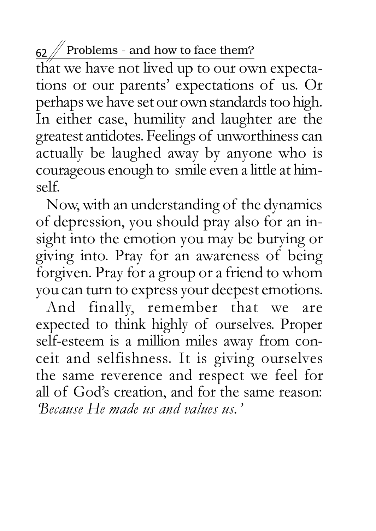that we have not lived up to our own expectations or our parents' expectations of us. Or perhaps we have set our own standards too high. In either case, humility and laughter are the greatest antidotes. Feelings of unworthiness can actually be laughed away by anyone who is courageous enough to smile even a little at himself.

Now, with an understanding of the dynamics of depression, you should pray also for an insight into the emotion you may be burying or giving into. Pray for an awareness of being forgiven. Pray for a group or a friend to whom you can turn to express your deepest emotions.

And finally, remember that we are expected to think highly of ourselves. Proper self-esteem is a million miles away from conceit and selfishness. It is giving ourselves the same reverence and respect we feel for all of God's creation, and for the same reason: 'Because He made us and values us.'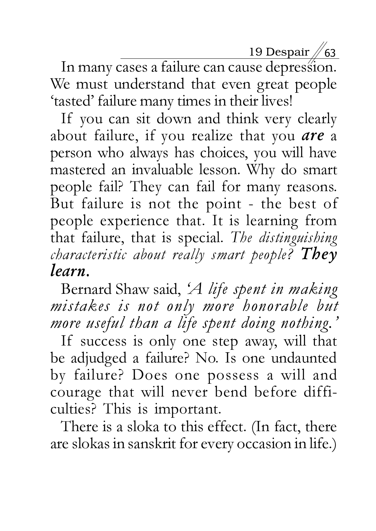19 Despair  $\sqrt{63}$ 

In many cases a failure can cause depression. We must understand that even great people 'tasted' failure many times in their lives!

If you can sit down and think very clearly about failure, if you realize that you  $are$  a person who always has choices, you will have mastered an invaluable lesson. Why do smart people fail? They can fail for many reasons. But failure is not the point - the best of people experience that. It is learning from that failure, that is special. The distinguishing characteristic about really smart people? They learn.

Bernard Shaw said, 'A life spent in making mistakes is not only more honorable but more useful than a life spent doing nothing.'

If success is only one step away, will that be adjudged a failure? No. Is one undaunted by failure? Does one possess a will and courage that will never bend before difficulties? This is important.

There is a sloka to this effect. (In fact, there are slokas in sanskrit for every occasion in life.)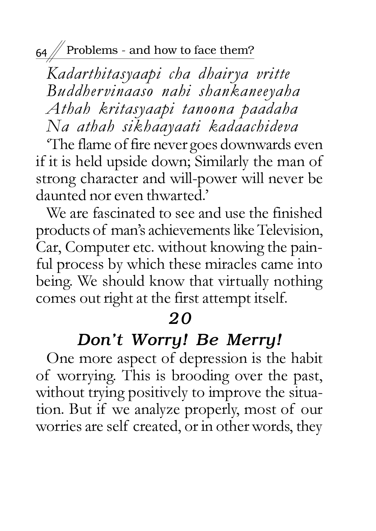Kadarthitasyaapi cha dhairya vritte Buddhervinaaso nahi shankaneeyaha Athah kritasyaapi tanoona paadaha Na athah sikhaayaati kadaachideva

'The flame of fire never goes downwards even if it is held upside down; Similarly the man of strong character and will-power will never be daunted nor even thwarted.'

We are fascinated to see and use the finished products of man's achievements like Television, Car, Computer etc. without knowing the painful process by which these miracles came into being. We should know that virtually nothing comes out right at the first attempt itself.

### $20$

### Don't Worry! Be Merry!

One more aspect of depression is the habit of worrying. This is brooding over the past, without trying positively to improve the situation. But if we analyze properly, most of our worries are self created, or in other words, they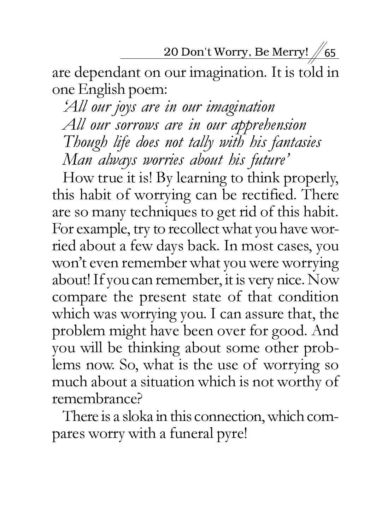20 Don't Worry, Be Merry!  $\sqrt{65}$ 

are dependant on our imagination. It is told in one English poem:

'All our joys are in our imagination All our sorrows are in our apprehension Though life does not tally with his fantasies Man always worries about his future'

How true it is! By learning to think properly, this habit of worrying can be rectified. There are so many techniques to get rid of this habit. For example, try to recollect what you have worried about a few days back. In most cases, you won't even remember what you were worrying about! If you can remember, it is very nice. Now compare the present state of that condition which was worrying you. I can assure that, the problem might have been over for good. And you will be thinking about some other problems now. So, what is the use of worrying so much about a situation which is not worthy of remembrance?

There is a sloka in this connection, which compares worry with a funeral pyre!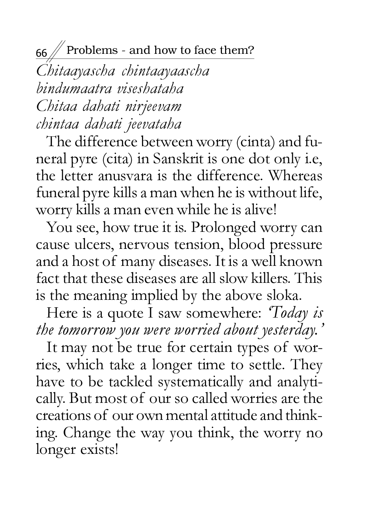Chitaayascha chintaayaascha bindumaatra viseshataha Chitaa dahati nirjeevam chintaa dahati jeevataha

The difference between worry (cinta) and funeral pyre (cita) in Sanskrit is one dot only i.e, the letter anusvara is the difference. Whereas funeral pyre kills a man when he is without life, worry kills a man even while he is alive!

You see, how true it is. Prolonged worry can cause ulcers, nervous tension, blood pressure and a host of many diseases. It is a well known fact that these diseases are all slow killers. This is the meaning implied by the above sloka.

Here is a quote I saw somewhere: *Today is* the tomorrow you were worried about yesterday.'

It may not be true for certain types of worries, which take a longer time to settle. They have to be tackled systematically and analytically. But most of our so called worries are the creations of our own mental attitude and thinking. Change the way you think, the worry no longer exists!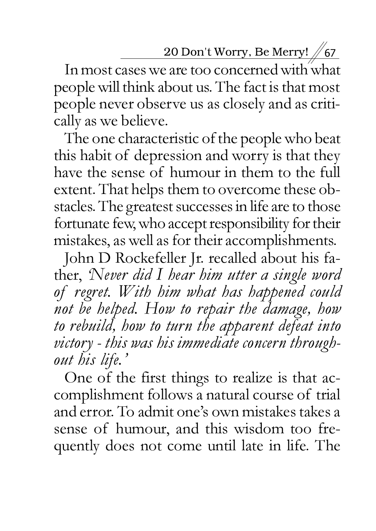20 Don't Worry, Be Merry!  $\sqrt{67}$ 

In most cases we are too concerned with what people will think about us. The fact is that most people never observe us as closely and as critically as we believe.

The one characteristic of the people who beat this habit of depression and worry is that they have the sense of humour in them to the full extent. That helps them to overcome these obstacles. The greatest successes in life are to those fortunate few, who accept responsibility for their mistakes, as well as for their accomplishments.

John D Rockefeller Jr. recalled about his father, Never did I hear him utter a single word of regret. With him what has happened could not be helped. How to repair the damage, how to rebuild, how to turn the apparent defeat into victory - this was his immediate concern throughout his life.'

One of the first things to realize is that accomplishment follows a natural course of trial and error. To admit one's own mistakes takes a sense of humour, and this wisdom too frequently does not come until late in life. The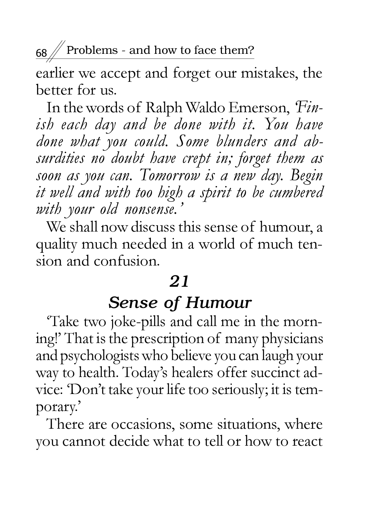earlier we accept and forget our mistakes, the better for us.

In the words of Ralph Waldo Emerson, Finish each day and be done with it. You have done what you could. Some blunders and absurdities no doubt have crept in; forget them as soon as you can. Tomorrow is a new day. Begin it well and with too high a spirit to be cumbered with your old nonsense.

We shall now discuss this sense of humour, a quality much needed in a world of much tension and confusion.

#### 21

### Sense of Humour

'Take two joke-pills and call me in the morning!' That is the prescription of many physicians and psychologists who believe you can laugh your way to health. Today's healers offer succinct advice: 'Don't take your life too seriously; it is temporary.'

There are occasions, some situations, where you cannot decide what to tell or how to react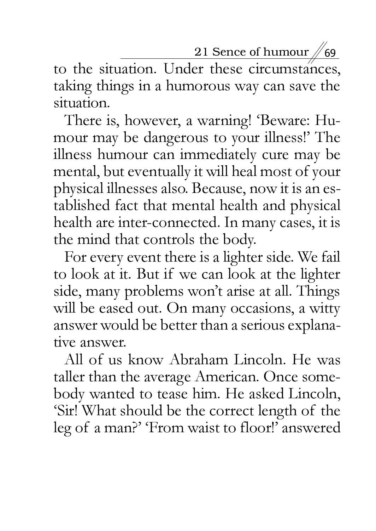21 Sence of humour  $\sqrt{69}$ 

to the situation. Under these circumstances, taking things in a humorous way can save the situation.

There is, however, a warning! 'Beware: Humour may be dangerous to your illness!' The illness humour can immediately cure may be mental, but eventually it will heal most of your physical illnesses also. Because, now it is an established fact that mental health and physical health are inter-connected. In many cases, it is the mind that controls the body.

For every event there is a lighter side. We fail to look at it. But if we can look at the lighter side, many problems won't arise at all. Things will be eased out. On many occasions, a witty answer would be better than a serious explanative answer.

All of us know Abraham Lincoln. He was taller than the average American. Once somebody wanted to tease him. He asked Lincoln, 'Sir! What should be the correct length of the leg of a man?' 'From waist to floor!' answered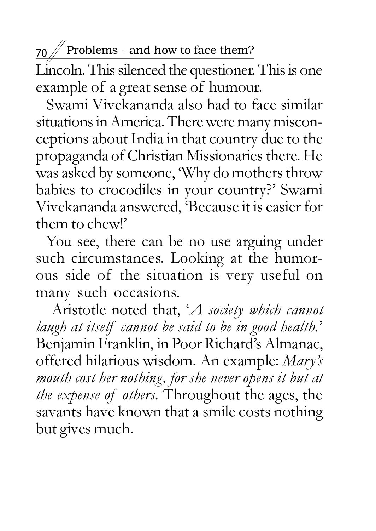Lincoln. This silenced the questioner. This is one example of a great sense of humour.

Swami Vivekananda also had to face similar situations in America. There were many misconceptions about India in that country due to the propaganda of Christian Missionaries there. He was asked by someone, 'Why do mothers throw babies to crocodiles in your country?' Swami Vivekananda answered, 'Because it is easier for them to chew!'

You see, there can be no use arguing under such circumstances. Looking at the humorous side of the situation is very useful on many such occasions.

Aristotle noted that, 'A society which cannot laugh at itself cannot be said to be in good health.' Benjamin Franklin, in Poor Richard's Almanac, offered hilarious wisdom. An example: Mary's mouth cost her nothing, for she never opens it but at the expense of others. Throughout the ages, the savants have known that a smile costs nothing but gives much.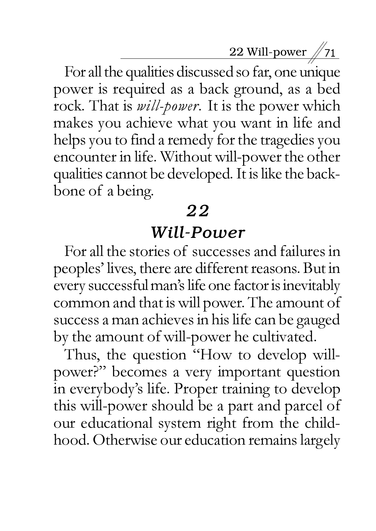22 Will-power  $\sqrt{71}$ 

For all the qualities discussed so far, one unique power is required as a back ground, as a bed rock. That is will-power. It is the power which makes you achieve what you want in life and helps you to find a remedy for the tragedies you encounter in life. Without will-power the other qualities cannot be developed. It is like the backbone of a being.

### 22

#### Will-Power

For all the stories of successes and failures in peoples' lives, there are different reasons. But in every successful man's life one factor is inevitably common and that is will power. The amount of success a man achieves in his life can be gauged by the amount of will-power he cultivated.

Thus, the question "How to develop willpower?" becomes a very important question in everybody's life. Proper training to develop this will-power should be a part and parcel of our educational system right from the childhood. Otherwise our education remains largely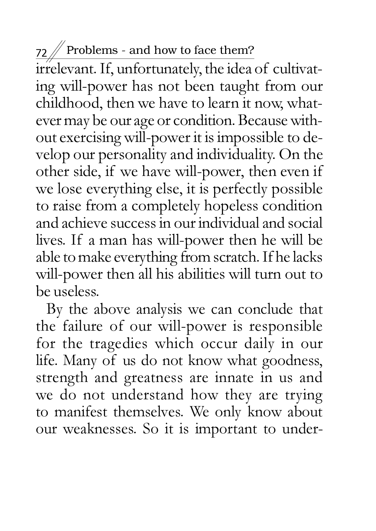irrelevant. If, unfortunately, the idea of cultivating will-power has not been taught from our childhood, then we have to learn it now, whatever may be our age or condition. Because without exercising will-power it is impossible to develop our personality and individuality. On the other side, if we have will-power, then even if we lose everything else, it is perfectly possible to raise from a completely hopeless condition and achieve success in our individual and social lives. If a man has will-power then he will be able to make everything from scratch. If he lacks will-power then all his abilities will turn out to be useless.

By the above analysis we can conclude that the failure of our will-power is responsible for the tragedies which occur daily in our life. Many of us do not know what goodness, strength and greatness are innate in us and we do not understand how they are trying to manifest themselves. We only know about our weaknesses. So it is important to under-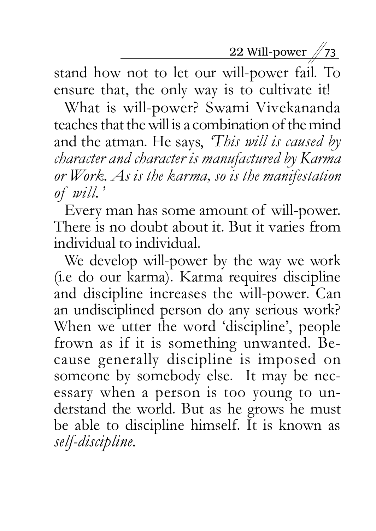stand how not to let our will-power fail. To ensure that, the only way is to cultivate it!

What is will-power? Swami Vivekananda teaches that the will is a combination of the mind and the atman. He says, 'This will is caused by character and character is manufactured by Karma or Work. As is the karma, so is the manifestation of will.'

Every man has some amount of will-power. There is no doubt about it. But it varies from individual to individual.

We develop will-power by the way we work (i.e do our karma). Karma requires discipline and discipline increases the will-power. Can an undisciplined person do any serious work? When we utter the word 'discipline', people frown as if it is something unwanted. Because generally discipline is imposed on someone by somebody else. It may be necessary when a person is too young to understand the world. But as he grows he must be able to discipline himself. It is known as self-discipline.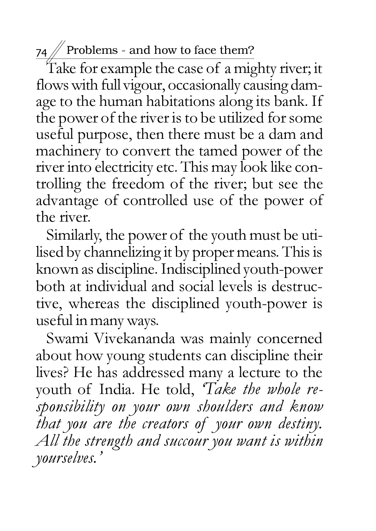Take for example the case of a mighty river; it flows with full vigour, occasionally causing damage to the human habitations along its bank. If the power of the river is to be utilized for some useful purpose, then there must be a dam and machinery to convert the tamed power of the river into electricity etc. This may look like controlling the freedom of the river; but see the advantage of controlled use of the power of the river.

Similarly, the power of the youth must be utilised by channelizing it by proper means. This is known as discipline. Indisciplined youth-power both at individual and social levels is destructive, whereas the disciplined youth-power is useful in many ways.

Swami Vivekananda was mainly concerned about how young students can discipline their lives? He has addressed many a lecture to the youth of India. He told, 'Take the whole responsibility on your own shoulders and know that you are the creators of your own destiny. All the strength and succour you want is within yourselves.'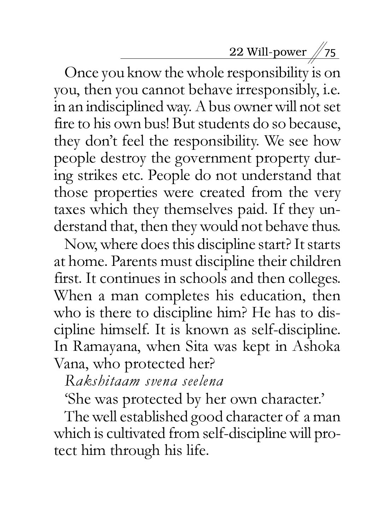22 Will-power  $\frac{\sqrt{75}}{2}$ 

Once you know the whole responsibility is on you, then you cannot behave irresponsibly, i.e. in an indisciplined way. A bus owner will not set fire to his own bus! But students do so because, they don't feel the responsibility. We see how people destroy the government property during strikes etc. People do not understand that those properties were created from the very taxes which they themselves paid. If they understand that, then they would not behave thus.

Now, where does this discipline start? It starts at home. Parents must discipline their children first. It continues in schools and then colleges. When a man completes his education, then who is there to discipline him? He has to discipline himself. It is known as self-discipline. In Ramayana, when Sita was kept in Ashoka Vana, who protected her?

Rakshitaam svena seelena

'She was protected by her own character.'

The well established good character of a man which is cultivated from self-discipline will protect him through his life.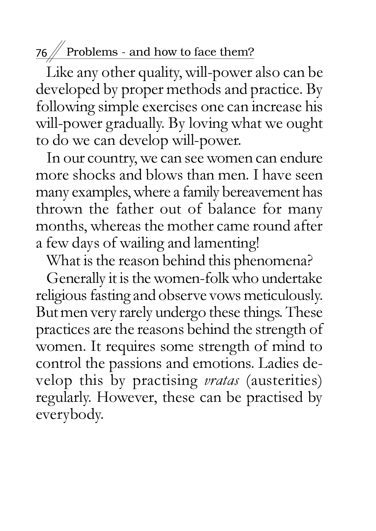Like any other quality, will-power also can be developed by proper methods and practice. By following simple exercises one can increase his will-power gradually. By loving what we ought to do we can develop will-power.

In our country, we can see women can endure more shocks and blows than men. I have seen many examples, where a family bereavement has thrown the father out of balance for many months, whereas the mother came round after a few days of wailing and lamenting!

What is the reason behind this phenomena?

Generally it is the women-folk who undertake religious fasting and observe vows meticulously. But men very rarely undergo these things. These practices are the reasons behind the strength of women. It requires some strength of mind to control the passions and emotions. Ladies develop this by practising *vratas* (austerities) regularly. However, these can be practised by everybody.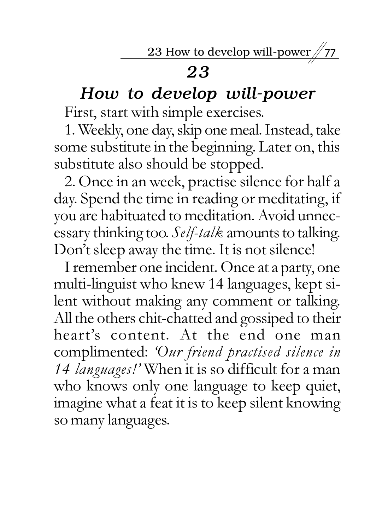# 23

## How to develop will-power

First, start with simple exercises.

1. Weekly, one day, skip one meal. Instead, take some substitute in the beginning. Later on, this substitute also should be stopped.

2. Once in an week, practise silence for half a day. Spend the time in reading or meditating, if you are habituated to meditation. Avoid unnecessary thinking too. Self-talk amounts to talking. Don't sleep away the time. It is not silence!

I remember one incident. Once at a party, one multi-linguist who knew 14 languages, kept silent without making any comment or talking. All the others chit-chatted and gossiped to their heart's content. At the end one man complimented: 'Our friend practised silence in 14 languages!' When it is so difficult for a man who knows only one language to keep quiet, imagine what a feat it is to keep silent knowing so many languages.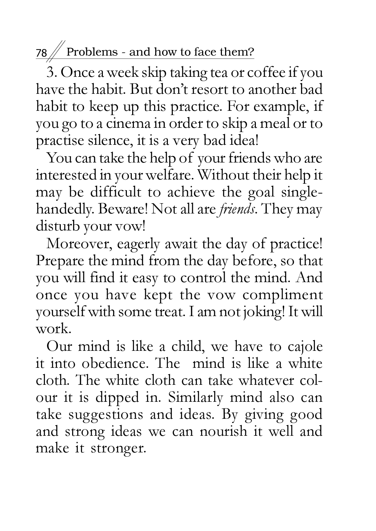3. Once a week skip taking tea or coffee if you have the habit. But don't resort to another bad habit to keep up this practice. For example, if you go to a cinema in order to skip a meal or to practise silence, it is a very bad idea!

You can take the help of your friends who are interested in your welfare. Without their help it may be difficult to achieve the goal singlehandedly. Beware! Not all are *friends*. They may disturb your vow!

Moreover, eagerly await the day of practice! Prepare the mind from the day before, so that you will find it easy to control the mind. And once you have kept the vow compliment yourself with some treat. I am not joking! It will work.

Our mind is like a child, we have to cajole it into obedience. The mind is like a white cloth. The white cloth can take whatever colour it is dipped in. Similarly mind also can take suggestions and ideas. By giving good and strong ideas we can nourish it well and make it stronger.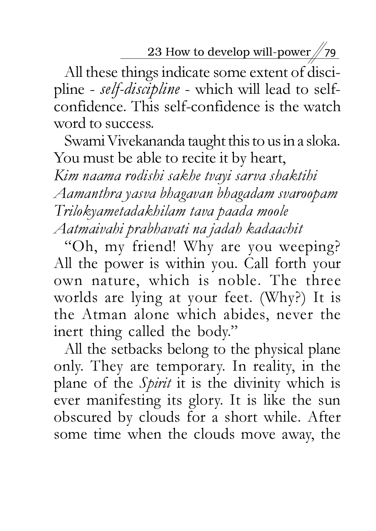23 How to develop will-power  $\sqrt{79}$ 

All these things indicate some extent of discipline - self-discipline - which will lead to selfconfidence. This self-confidence is the watch word to success.

Swami Vivekananda taught this to us in a sloka. You must be able to recite it by heart,

Kim naama rodishi sakhe tvayi sarva shaktihi Aamanthra yasva bhagavan bhagadam svaroopam Trilokyametadakhilam tava paada moole Aatmaivahi prabhavati na jadah kadaachit

"Oh, my friend! Why are you weeping? All the power is within you. Call forth your own nature, which is noble. The three worlds are lying at your feet. (Why?) It is the Atman alone which abides, never the inert thing called the body."

All the setbacks belong to the physical plane only. They are temporary. In reality, in the plane of the *Spirit* it is the divinity which is ever manifesting its glory. It is like the sun obscured by clouds for a short while. After some time when the clouds move away, the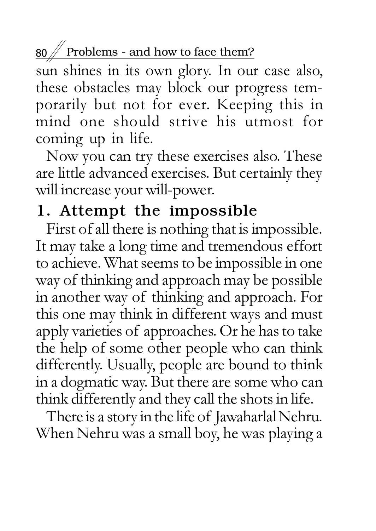sun shines in its own glory. In our case also, these obstacles may block our progress temporarily but not for ever. Keeping this in mind one should strive his utmost for coming up in life.

Now you can try these exercises also. These are little advanced exercises. But certainly they will increase your will-power.

## 1. Attempt the impossible

First of all there is nothing that is impossible. It may take a long time and tremendous effort to achieve. What seems to be impossible in one way of thinking and approach may be possible in another way of thinking and approach. For this one may think in different ways and must apply varieties of approaches. Or he has to take the help of some other people who can think differently. Usually, people are bound to think in a dogmatic way. But there are some who can think differently and they call the shots in life.

There is a story in the life of Jawaharlal Nehru. When Nehru was a small boy, he was playing a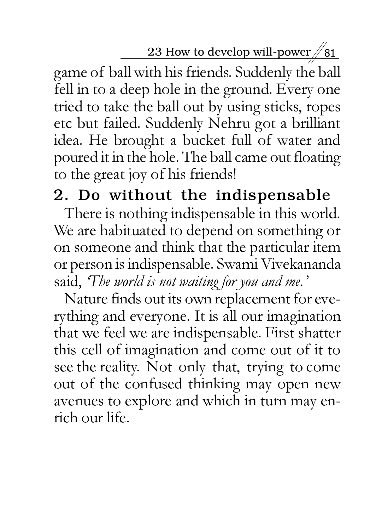23 How to develop will-power  $\frac{81}{81}$ 

game of ball with his friends. Suddenly the ball fell in to a deep hole in the ground. Every one tried to take the ball out by using sticks, ropes etc but failed. Suddenly Nehru got a brilliant idea. He brought a bucket full of water and poured it in the hole. The ball came out floating to the great joy of his friends!

### 2. Do without the indispensable

There is nothing indispensable in this world. We are habituated to depend on something or on someone and think that the particular item or person is indispensable. Swami Vivekananda said, The world is not waiting for you and me.'

Nature finds out its own replacement for everything and everyone. It is all our imagination that we feel we are indispensable. First shatter this cell of imagination and come out of it to see the reality. Not only that, trying to come out of the confused thinking may open new avenues to explore and which in turn may enrich our life.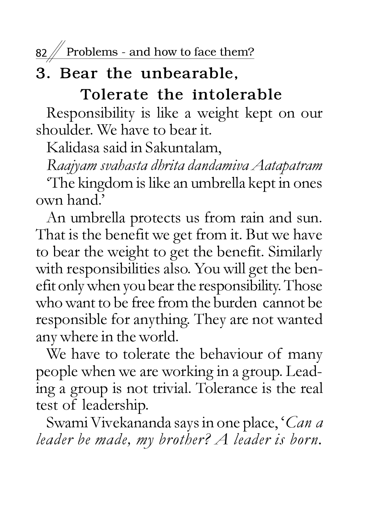## 3. Bear the unbearable,

Tolerate the intolerable

Responsibility is like a weight kept on our shoulder. We have to bear it.

Kalidasa said in Sakuntalam,

Raajyam svahasta dhrita dandamiva Aatapatram

'The kingdom is like an umbrella kept in ones own hand.'

An umbrella protects us from rain and sun. That is the benefit we get from it. But we have to bear the weight to get the benefit. Similarly with responsibilities also. You will get the benefit only when you bear the responsibility. Those who want to be free from the burden cannot be responsible for anything. They are not wanted any where in the world.

We have to tolerate the behaviour of many people when we are working in a group. Leading a group is not trivial. Tolerance is the real test of leadership.

Swami Vivekananda says in one place, 'Can a leader be made, my brother? A leader is born.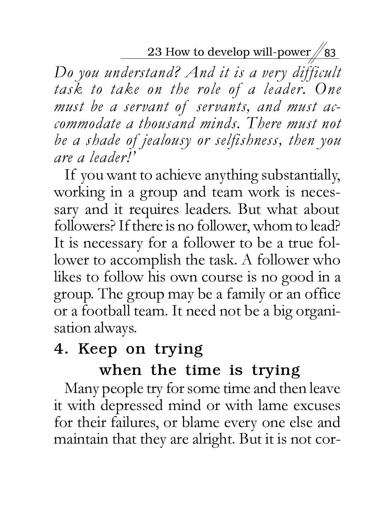23 How to develop will-power  $\frac{23}{83}$ 

Do you understand? And it is a very difficult task to take on the role of a leader. One must be a servant of servants, and must accommodate a thousand minds. There must not be a shade of jealousy or selfishness, then you are a leader!'

If you want to achieve anything substantially, working in a group and team work is necessary and it requires leaders. But what about followers? If there is no follower, whom to lead? It is necessary for a follower to be a true follower to accomplish the task. A follower who likes to follow his own course is no good in a group. The group may be a family or an office or a football team. It need not be a big organisation always.

### 4. Keep on trying

#### when the time is trying

Many people try for some time and then leave it with depressed mind or with lame excuses for their failures, or blame every one else and maintain that they are alright. But it is not cor-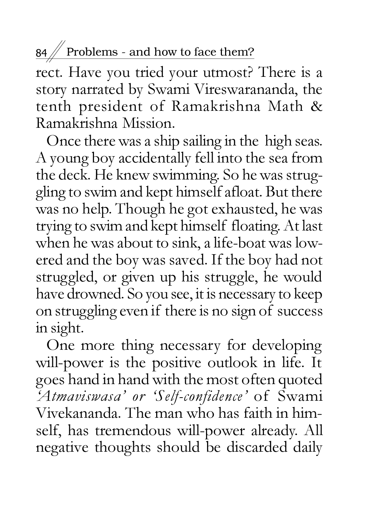rect. Have you tried your utmost? There is a story narrated by Swami Vireswarananda, the tenth president of Ramakrishna Math & Ramakrishna Mission.

Once there was a ship sailing in the high seas. A young boy accidentally fell into the sea from the deck. He knew swimming. So he was struggling to swim and kept himself afloat. But there was no help. Though he got exhausted, he was trying to swim and kept himself floating. At last when he was about to sink, a life-boat was lowered and the boy was saved. If the boy had not struggled, or given up his struggle, he would have drowned. So you see, it is necessary to keep on struggling even if there is no sign of success in sight.

One more thing necessary for developing will-power is the positive outlook in life. It goes hand in hand with the most often quoted 'Atmaviswasa' or 'Self-confidence' of Swami Vivekananda. The man who has faith in himself, has tremendous will-power already. All negative thoughts should be discarded daily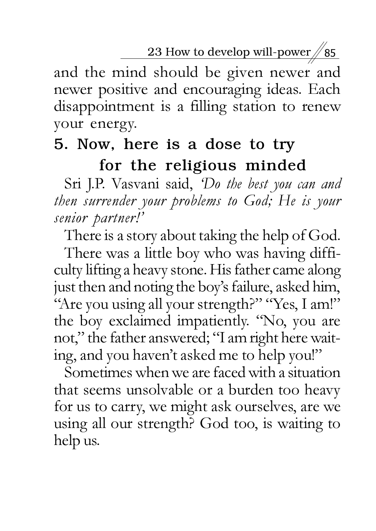23 How to develop will-power  $\frac{85}{85}$ 

and the mind should be given newer and newer positive and encouraging ideas. Each disappointment is a filling station to renew your energy.

# 5. Now, here is a dose to try for the religious minded

Sri J.P. Vasvani said, 'Do the best you can and then surrender your problems to God; He is your senior partner!'

There is a story about taking the help of God.

There was a little boy who was having difficulty lifting a heavy stone. His father came along just then and noting the boy's failure, asked him, "Are you using all your strength?" "Yes, I am!" the boy exclaimed impatiently. "No, you are not," the father answered; "I am right here waiting, and you haven't asked me to help you!"

Sometimes when we are faced with a situation that seems unsolvable or a burden too heavy for us to carry, we might ask ourselves, are we using all our strength? God too, is waiting to help us.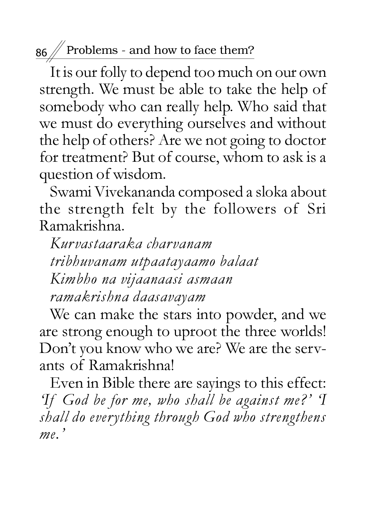It is our folly to depend too much on our own strength. We must be able to take the help of somebody who can really help. Who said that we must do everything ourselves and without the help of others? Are we not going to doctor for treatment? But of course, whom to ask is a question of wisdom.

Swami Vivekananda composed a sloka about the strength felt by the followers of Sri Ramakrishna.

Kurvastaaraka charvanam tribhuvanam utpaatayaamo balaat Kimbho na vijaanaasi asmaan ramakrishna daasavayam

We can make the stars into powder, and we are strong enough to uproot the three worlds! Don't you know who we are? We are the servants of Ramakrishna!

Even in Bible there are sayings to this effect: 'If God be for me, who shall be against me?' 'I shall do everything through God who strengthens me.'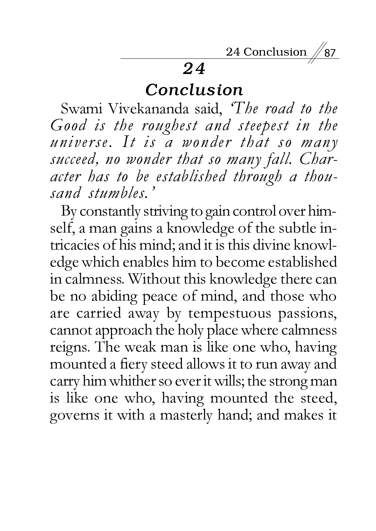### 24

### Conclusion

Swami Vivekananda said, 'The road to the Good is the roughest and steepest in the universe. It is a wonder that so many succeed, no wonder that so many fall. Character has to be established through a thousand stumbles.'

By constantly striving to gain control over himself, a man gains a knowledge of the subtle intricacies of his mind; and it is this divine knowledge which enables him to become established in calmness. Without this knowledge there can be no abiding peace of mind, and those who are carried away by tempestuous passions, cannot approach the holy place where calmness reigns. The weak man is like one who, having mounted a fiery steed allows it to run away and carry him whither so ever it wills; the strong man is like one who, having mounted the steed, governs it with a masterly hand; and makes it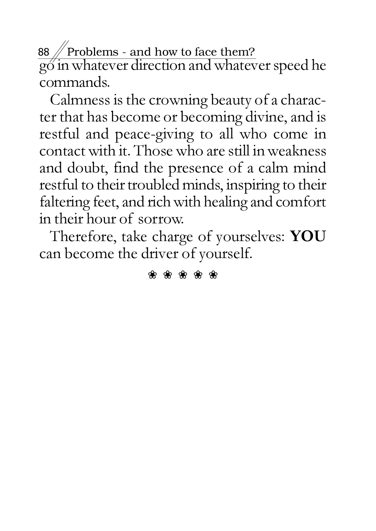88  $\mathbin{\mathbb{Z}}$  Problems - and how to face them?  $\vec{\mathrm{g}}\vec{\mathrm{o}}$  in whatever direction and whatever speed he commands.

Calmness is the crowning beauty of a character that has become or becoming divine, and is restful and peace-giving to all who come in contact with it. Those who are still in weakness and doubt, find the presence of a calm mind restful to their troubled minds, inspiring to their faltering feet, and rich with healing and comfort in their hour of sorrow.

Therefore, take charge of yourselves: YOU can become the driver of yourself.

❀ ❀ ❀ ❀ ❀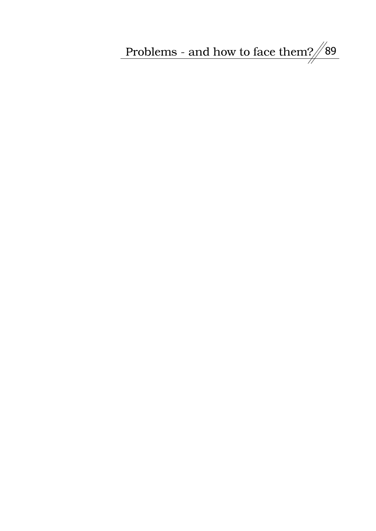Problems - and how to face them?  $\frac{89}{89}$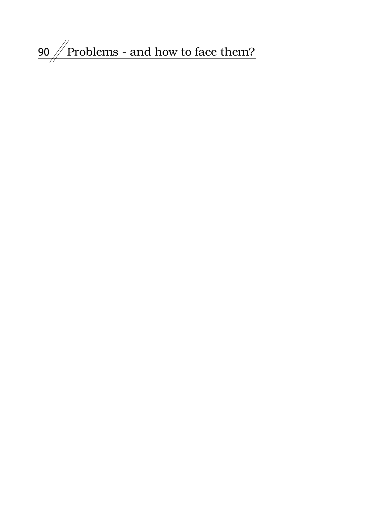$90\!\!\!\!\!\!/$  Problems - and how to face them?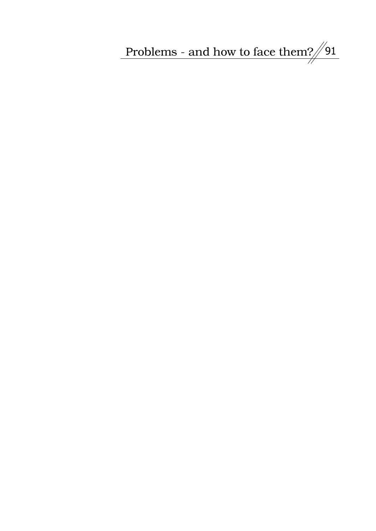Problems - and how to face them? $\frac{91}{2}$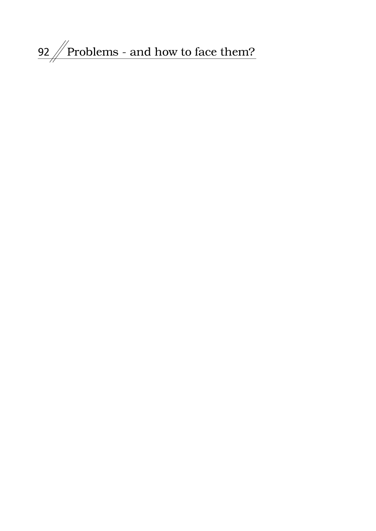$92\!\!\!\!\!\!/$  Problems - and how to face them?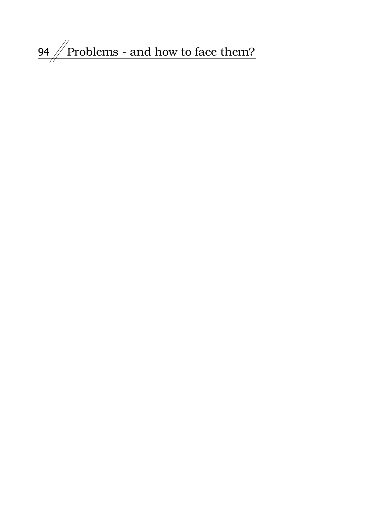94 Problems - and how to face them?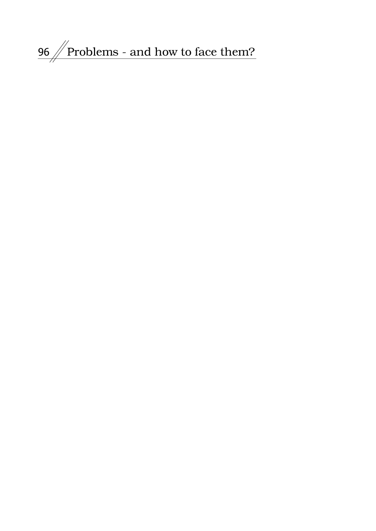$96\!\!\!\!\!\!/$  Problems - and how to face them?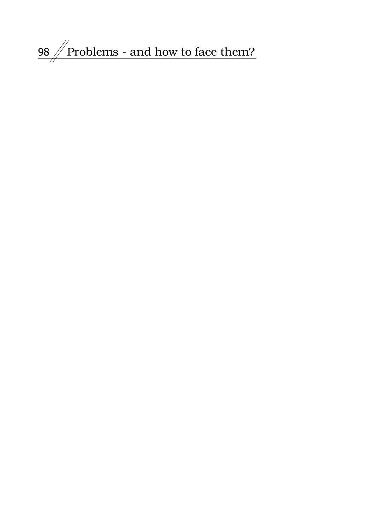$98\!\!\!\!\!\!/$  Problems - and how to face them?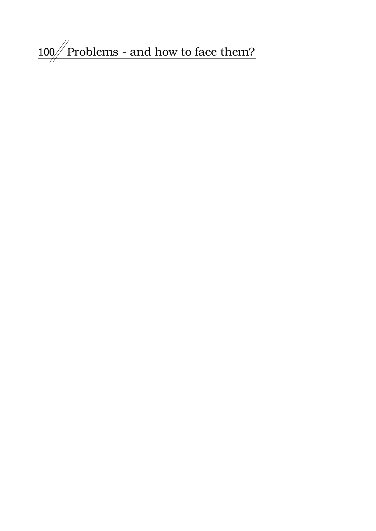$\underline{100}$  Problems - and how to face them?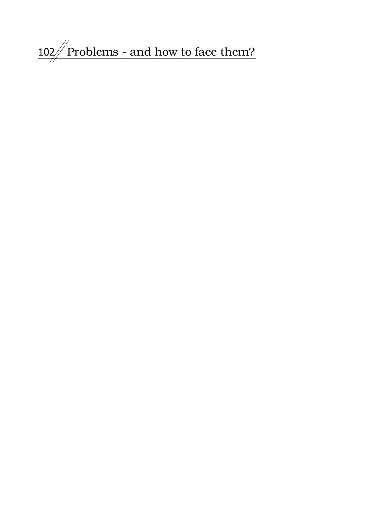$\underline{102} \underline{/}$  Problems - and how to face them?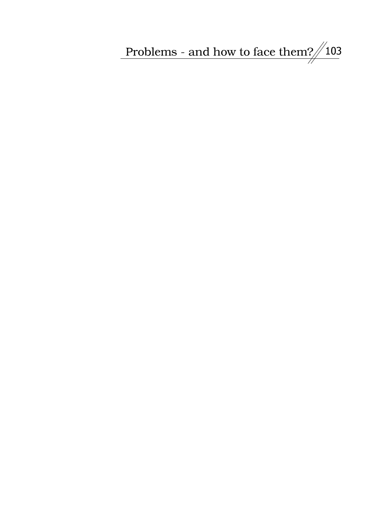Problems - and how to face them? $\frac{103}{103}$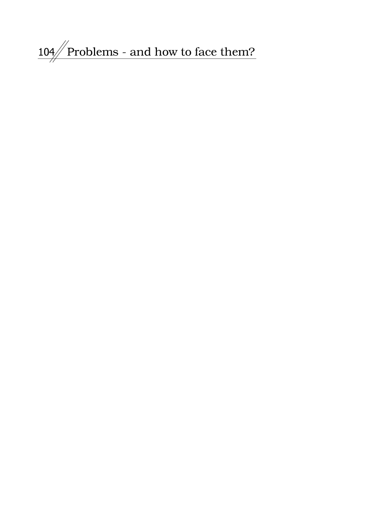$\underline{104}$  Problems - and how to face them?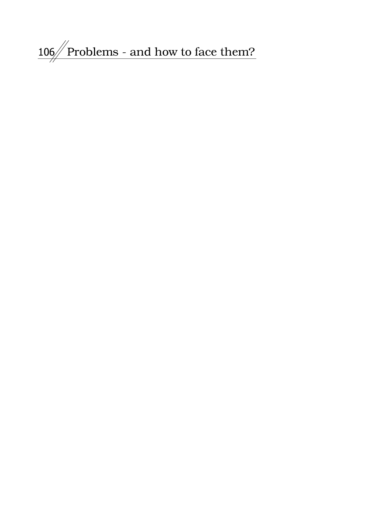$\underline{106}$  Problems - and how to face them?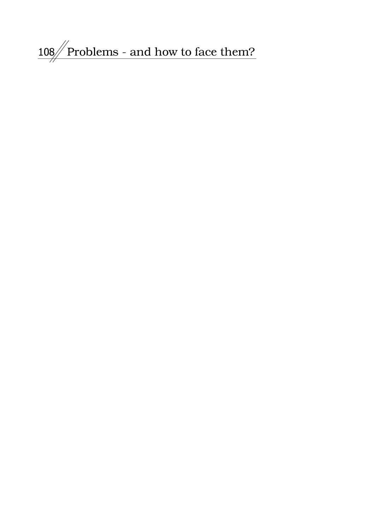$\underline{108}/$  Problems - and how to face them?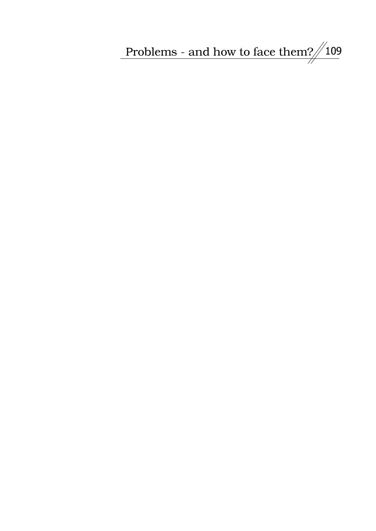Problems - and how to face them?/109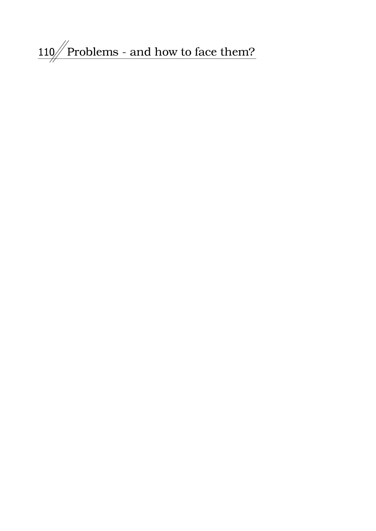$110\!\!\!\!/$  Problems - and how to face them?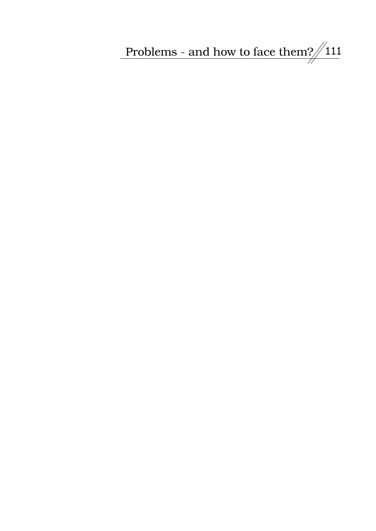Problems - and how to face them? $\frac{111}{111}$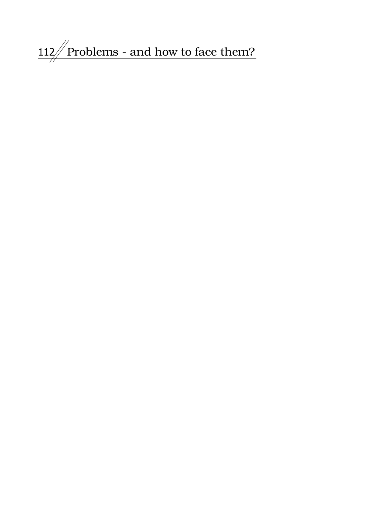$112\!\!\!\!\!/$  Problems - and how to face them?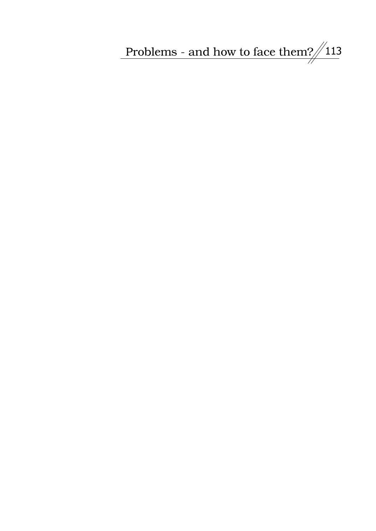Problems - and how to face them? $\frac{113}{113}$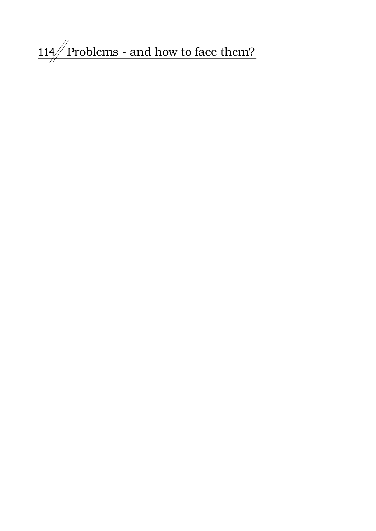$\underline{114}$  Problems - and how to face them?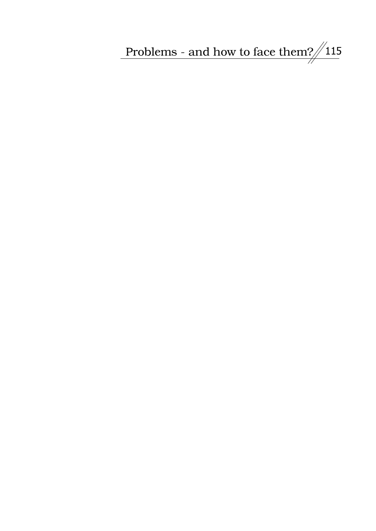Problems - and how to face them? $\frac{115}{115}$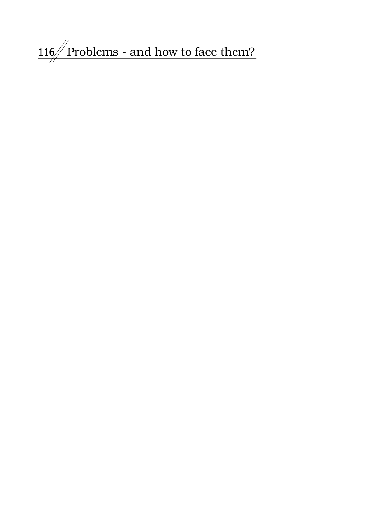$\underline{116}$  Problems - and how to face them?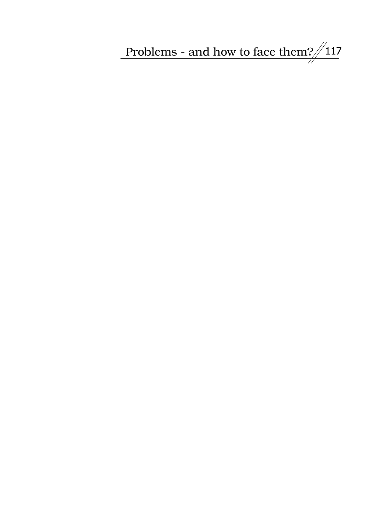Problems - and how to face them? $\frac{117}{117}$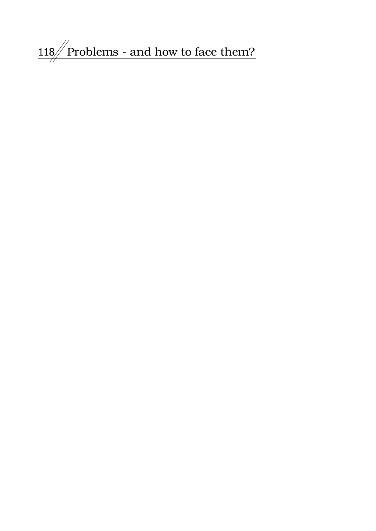$\underline{118}/$  Problems - and how to face them?